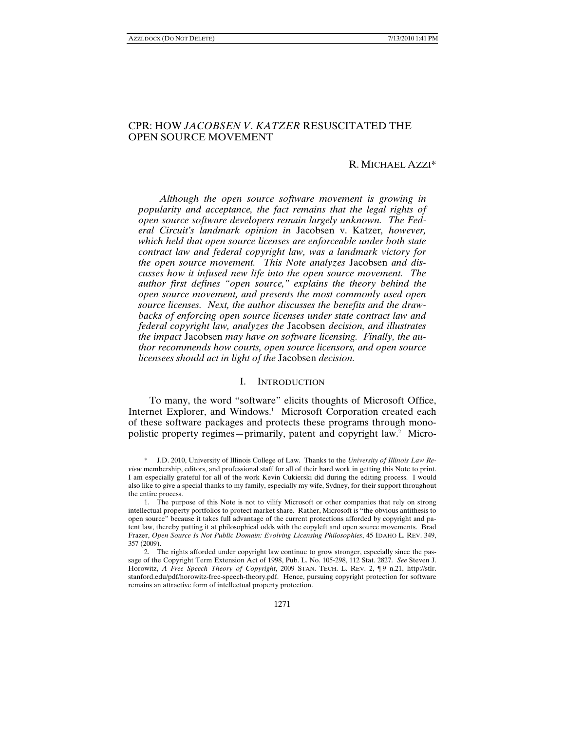-

# CPR: HOW *JACOBSEN V*. *KATZER* RESUSCITATED THE OPEN SOURCE MOVEMENT

### R. MICHAEL AZZI\*

*Although the open source software movement is growing in popularity and acceptance, the fact remains that the legal rights of open source software developers remain largely unknown. The Federal Circuit's landmark opinion in* Jacobsen v. Katzer*, however, which held that open source licenses are enforceable under both state contract law and federal copyright law, was a landmark victory for the open source movement. This Note analyzes* Jacobsen *and discusses how it infused new life into the open source movement. The author first defines "open source," explains the theory behind the open source movement, and presents the most commonly used open source licenses. Next, the author discusses the benefits and the drawbacks of enforcing open source licenses under state contract law and federal copyright law, analyzes the* Jacobsen *decision, and illustrates the impact* Jacobsen *may have on software licensing. Finally, the author recommends how courts, open source licensors, and open source licensees should act in light of the* Jacobsen *decision.* 

#### I. INTRODUCTION

To many, the word "software" elicits thoughts of Microsoft Office, Internet Explorer, and Windows.<sup>1</sup> Microsoft Corporation created each of these software packages and protects these programs through monopolistic property regimes—primarily, patent and copyright law.2 Micro-

<sup>\*</sup> J.D. 2010, University of Illinois College of Law. Thanks to the *University of Illinois Law Review* membership, editors, and professional staff for all of their hard work in getting this Note to print. I am especially grateful for all of the work Kevin Cukierski did during the editing process. I would also like to give a special thanks to my family, especially my wife, Sydney, for their support throughout the entire process.

 <sup>1.</sup> The purpose of this Note is not to vilify Microsoft or other companies that rely on strong intellectual property portfolios to protect market share. Rather, Microsoft is "the obvious antithesis to open source" because it takes full advantage of the current protections afforded by copyright and patent law, thereby putting it at philosophical odds with the copyleft and open source movements. Brad Frazer, *Open Source Is Not Public Domain: Evolving Licensing Philosophies*, 45 IDAHO L. REV. 349, 357 (2009).

 <sup>2.</sup> The rights afforded under copyright law continue to grow stronger, especially since the passage of the Copyright Term Extension Act of 1998, Pub. L. No. 105-298, 112 Stat. 2827. *See* Steven J. Horowitz, *A Free Speech Theory of Copyright*, 2009 STAN. TECH. L. REV. 2, ¶9 n.21, http://stlr. stanford.edu/pdf/horowitz-free-speech-theory.pdf. Hence, pursuing copyright protection for software remains an attractive form of intellectual property protection.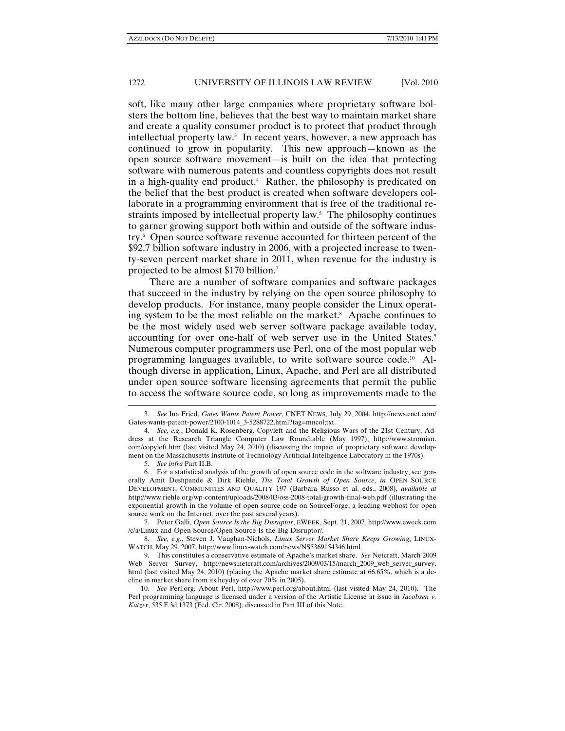soft, like many other large companies where proprietary software bolsters the bottom line, believes that the best way to maintain market share and create a quality consumer product is to protect that product through intellectual property law.3 In recent years, however, a new approach has continued to grow in popularity. This new approach—known as the open source software movement—is built on the idea that protecting software with numerous patents and countless copyrights does not result in a high-quality end product.4 Rather, the philosophy is predicated on the belief that the best product is created when software developers collaborate in a programming environment that is free of the traditional restraints imposed by intellectual property law.<sup>5</sup> The philosophy continues to garner growing support both within and outside of the software industry.6 Open source software revenue accounted for thirteen percent of the \$92.7 billion software industry in 2006, with a projected increase to twenty-seven percent market share in 2011, when revenue for the industry is projected to be almost \$170 billion.7

There are a number of software companies and software packages that succeed in the industry by relying on the open source philosophy to develop products. For instance, many people consider the Linux operating system to be the most reliable on the market.<sup>8</sup> Apache continues to be the most widely used web server software package available today, accounting for over one-half of web server use in the United States.<sup>9</sup> Numerous computer programmers use Perl, one of the most popular web programming languages available, to write software source code.10 Although diverse in application, Linux, Apache, and Perl are all distributed under open source software licensing agreements that permit the public to access the software source code, so long as improvements made to the

 $\overline{a}$ 

 7. Peter Galli, *Open Source Is the Big Disruptor*, EWEEK, Sept. 21, 2007, http://www.eweek.com /c/a/Linux-and-Open-Source/Open-Source-Is-the-Big-Disruptor/.

 8. *See, e.g.*, Steven J. Vaughan-Nichols, *Linux Server Market Share Keeps Growing*, LINUX-WATCH, May 29, 2007, http://www.linux-watch.com/news/NS5369154346.html.

<sup>3.</sup> *See* Ina Fried, *Gates Wants Patent Power*, CNET NEWS, July 29, 2004, http://news.cnet.com/ Gates-wants-patent-power/2100-1014\_3-5288722.html?tag=mncol;txt.

 <sup>4.</sup> *See, e.g.*, Donald K. Rosenberg, Copyleft and the Religious Wars of the 21st Century, Address at the Research Triangle Computer Law Roundtable (May 1997), http://www.stromian. com/copyleft.htm (last visited May 24, 2010) (discussing the impact of proprietary software development on the Massachusetts Institute of Technology Artificial Intelligence Laboratory in the 1970s).

 <sup>5.</sup> *See infra* Part II.B.

 <sup>6.</sup> For a statistical analysis of the growth of open source code in the software industry, see generally Amit Deshpande & Dirk Riehle, *The Total Growth of Open Source*, *in* OPEN SOURCE DEVELOPMENT, COMMUNITIES AND QUALITY 197 (Barbara Russo et al. eds., 2008), *available at*  http://www.riehle.org/wp-content/uploads/2008/03/oss-2008-total-growth-final-web.pdf (illustrating the exponential growth in the volume of open source code on SourceForge, a leading webhost for open source work on the Internet, over the past several years).

 <sup>9.</sup> This constitutes a conservative estimate of Apache's market share. *See* Netcraft, March 2009 Web Server Survey, http://news.netcraft.com/archives/2009/03/15/march\_2009\_web\_server\_survey. html (last visited May 24, 2010) (placing the Apache market share estimate at 66.65%, which is a decline in market share from its heyday of over 70% in 2005).

 <sup>10.</sup> *See* Perl.org, About Perl, http://www.perl.org/about.html (last visited May 24, 2010). The Perl programming language is licensed under a version of the Artistic License at issue in *Jacobsen v. Katzer*, 535 F.3d 1373 (Fed. Cir. 2008), discussed in Part III of this Note.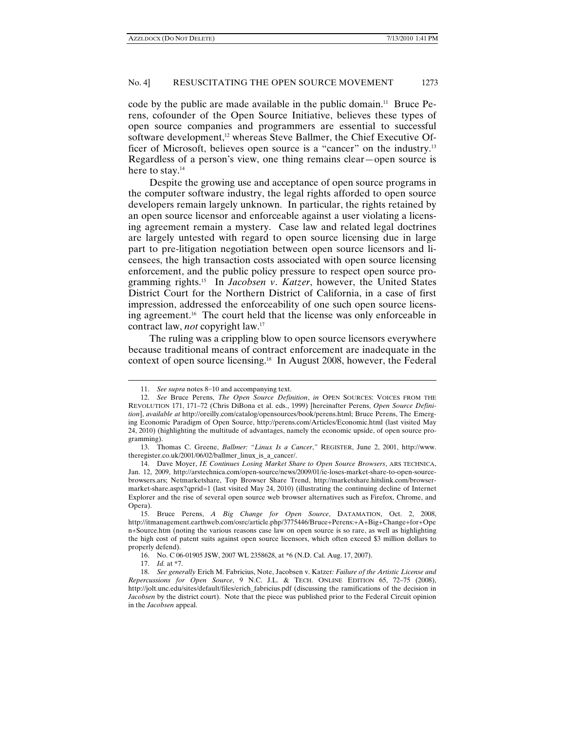code by the public are made available in the public domain.11 Bruce Perens, cofounder of the Open Source Initiative, believes these types of open source companies and programmers are essential to successful software development,<sup>12</sup> whereas Steve Ballmer, the Chief Executive Officer of Microsoft, believes open source is a "cancer" on the industry.13 Regardless of a person's view, one thing remains clear—open source is here to stay.<sup>14</sup>

Despite the growing use and acceptance of open source programs in the computer software industry, the legal rights afforded to open source developers remain largely unknown. In particular, the rights retained by an open source licensor and enforceable against a user violating a licensing agreement remain a mystery. Case law and related legal doctrines are largely untested with regard to open source licensing due in large part to pre-litigation negotiation between open source licensors and licensees, the high transaction costs associated with open source licensing enforcement, and the public policy pressure to respect open source programming rights.15 In *Jacobsen v*. *Katzer*, however, the United States District Court for the Northern District of California, in a case of first impression, addressed the enforceability of one such open source licensing agreement.16 The court held that the license was only enforceable in contract law, *not* copyright law.17

The ruling was a crippling blow to open source licensors everywhere because traditional means of contract enforcement are inadequate in the context of open source licensing.18 In August 2008, however, the Federal

<sup>11.</sup> *See supra* notes 8−10 and accompanying text.

 <sup>12.</sup> *See* Bruce Perens, *The Open Source Definition*, *in* OPEN SOURCES: VOICES FROM THE REVOLUTION 171, 171–72 (Chris DiBona et al. eds., 1999) [hereinafter Perens, *Open Source Definition*], *available at* http://oreilly.com/catalog/opensources/book/perens.html; Bruce Perens, The Emerging Economic Paradigm of Open Source, http://perens.com/Articles/Economic.html (last visited May 24, 2010) (highlighting the multitude of advantages, namely the economic upside, of open source programming).

 <sup>13.</sup> Thomas C. Greene, *Ballmer: "Linux Is a Cancer*,*"* REGISTER, June 2, 2001, http://www. theregister.co.uk/2001/06/02/ballmer\_linux\_is\_a\_cancer/.

 <sup>14.</sup> Dave Moyer, *IE Continues Losing Market Share to Open Source Browsers*, ARS TECHNICA, Jan. 12, 2009, http://arstechnica.com/open-source/news/2009/01/ie-loses-market-share-to-open-sourcebrowsers.ars; Netmarketshare, Top Browser Share Trend, http://marketshare.hitslink.com/browsermarket-share.aspx?qprid=1 (last visited May 24, 2010) (illustrating the continuing decline of Internet Explorer and the rise of several open source web browser alternatives such as Firefox, Chrome, and Opera).

 <sup>15.</sup> Bruce Perens, *A Big Change for Open Source*, DATAMATION, Oct. 2, 2008, http://itmanagement.earthweb.com/osrc/article.php/3775446/Bruce+Perens:+A+Big+Change+for+Ope n+Source.htm (noting the various reasons case law on open source is so rare, as well as highlighting the high cost of patent suits against open source licensors, which often exceed \$3 million dollars to properly defend).

 <sup>16.</sup> No. C 06-01905 JSW, 2007 WL 2358628, at \*6 (N.D. Cal. Aug. 17, 2007).

 <sup>17.</sup> *Id.* at \*7.

 <sup>18.</sup> *See generally* Erich M. Fabricius, Note, Jacobsen v. Katzer*: Failure of the Artistic License and Repercussions for Open Source*, 9 N.C. J.L. & TECH. ONLINE EDITION 65, 72–75 (2008), http://jolt.unc.edu/sites/default/files/erich\_fabricius.pdf (discussing the ramifications of the decision in *Jacobsen* by the district court). Note that the piece was published prior to the Federal Circuit opinion in the *Jacobsen* appeal.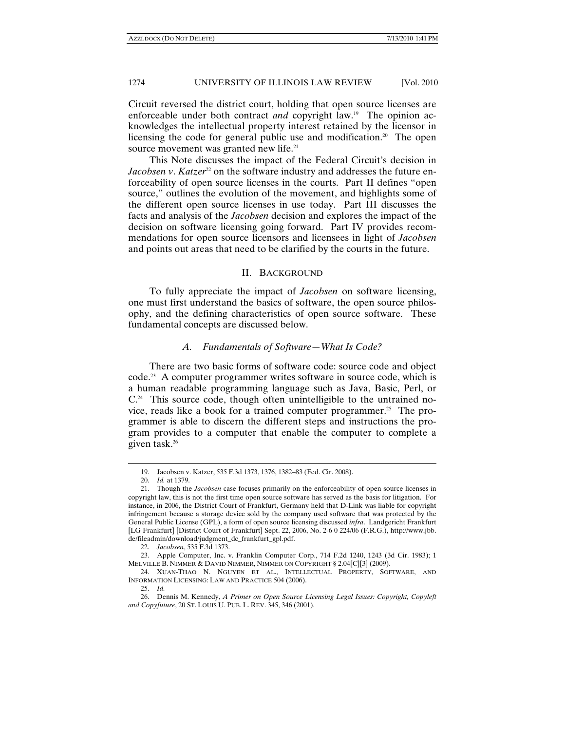Circuit reversed the district court, holding that open source licenses are enforceable under both contract *and* copyright law.<sup>19</sup> The opinion acknowledges the intellectual property interest retained by the licensor in licensing the code for general public use and modification.<sup>20</sup> The open source movement was granted new life.<sup>21</sup>

This Note discusses the impact of the Federal Circuit's decision in *Jacobsen v. Katzer*<sup>22</sup> on the software industry and addresses the future enforceability of open source licenses in the courts. Part II defines "open source," outlines the evolution of the movement, and highlights some of the different open source licenses in use today. Part III discusses the facts and analysis of the *Jacobsen* decision and explores the impact of the decision on software licensing going forward. Part IV provides recommendations for open source licensors and licensees in light of *Jacobsen* and points out areas that need to be clarified by the courts in the future.

## II. BACKGROUND

To fully appreciate the impact of *Jacobsen* on software licensing, one must first understand the basics of software, the open source philosophy, and the defining characteristics of open source software. These fundamental concepts are discussed below.

### *A. Fundamentals of Software—What Is Code?*

There are two basic forms of software code: source code and object code.23 A computer programmer writes software in source code, which is a human readable programming language such as Java, Basic, Perl, or  $C<sup>24</sup>$  This source code, though often unintelligible to the untrained novice, reads like a book for a trained computer programmer.<sup>25</sup> The programmer is able to discern the different steps and instructions the program provides to a computer that enable the computer to complete a given task.26

<sup>19.</sup> Jacobsen v. Katzer, 535 F.3d 1373, 1376, 1382–83 (Fed. Cir. 2008).

 <sup>20.</sup> *Id.* at 1379.

 <sup>21.</sup> Though the *Jacobsen* case focuses primarily on the enforceability of open source licenses in copyright law, this is not the first time open source software has served as the basis for litigation. For instance, in 2006, the District Court of Frankfurt, Germany held that D-Link was liable for copyright infringement because a storage device sold by the company used software that was protected by the General Public License (GPL), a form of open source licensing discussed *infra*. Landgericht Frankfurt [LG Frankfurt] [District Court of Frankfurt] Sept. 22, 2006, No. 2-6 0 224/06 (F.R.G.), http://www.jbb. de/fileadmin/download/judgment\_dc\_frankfurt\_gpl.pdf.

 <sup>22.</sup> *Jacobsen*, 535 F.3d 1373.

 <sup>23.</sup> Apple Computer, Inc. v. Franklin Computer Corp., 714 F.2d 1240, 1243 (3d Cir. 1983); 1 MELVILLE B. NIMMER & DAVID NIMMER, NIMMER ON COPYRIGHT § 2.04[C][3] (2009).

 <sup>24.</sup> XUAN-THAO N. NGUYEN ET AL., INTELLECTUAL PROPERTY, SOFTWARE, AND INFORMATION LICENSING: LAW AND PRACTICE 504 (2006).

 <sup>25.</sup> *Id.*

 <sup>26.</sup> Dennis M. Kennedy, *A Primer on Open Source Licensing Legal Issues: Copyright, Copyleft and Copyfuture*, 20 ST. LOUIS U. PUB. L. REV. 345, 346 (2001).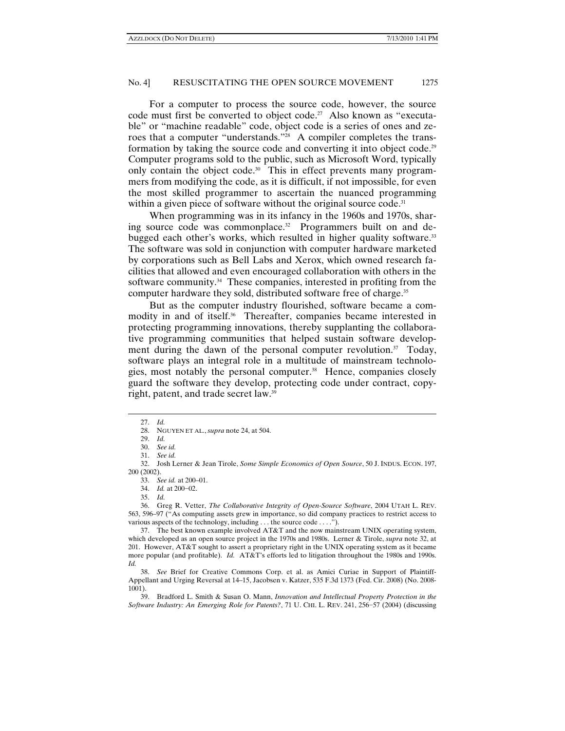For a computer to process the source code, however, the source code must first be converted to object code.<sup>27</sup> Also known as "executable" or "machine readable" code, object code is a series of ones and zeroes that a computer "understands."<sup>28</sup> A compiler completes the transformation by taking the source code and converting it into object code.<sup>29</sup> Computer programs sold to the public, such as Microsoft Word, typically only contain the object code.<sup>30</sup> This in effect prevents many programmers from modifying the code, as it is difficult, if not impossible, for even the most skilled programmer to ascertain the nuanced programming within a given piece of software without the original source code.<sup>31</sup>

When programming was in its infancy in the 1960s and 1970s, sharing source code was commonplace.<sup>32</sup> Programmers built on and debugged each other's works, which resulted in higher quality software.<sup>33</sup> The software was sold in conjunction with computer hardware marketed by corporations such as Bell Labs and Xerox, which owned research facilities that allowed and even encouraged collaboration with others in the software community.<sup>34</sup> These companies, interested in profiting from the computer hardware they sold, distributed software free of charge.<sup>35</sup>

But as the computer industry flourished, software became a commodity in and of itself.<sup>36</sup> Thereafter, companies became interested in protecting programming innovations, thereby supplanting the collaborative programming communities that helped sustain software development during the dawn of the personal computer revolution.<sup>37</sup> Today, software plays an integral role in a multitude of mainstream technologies, most notably the personal computer.38 Hence, companies closely guard the software they develop, protecting code under contract, copyright, patent, and trade secret law.39

 $\overline{a}$ 

 36. Greg R. Vetter, *The Collaborative Integrity of Open-Source Software*, 2004 UTAH L. REV. 563, 596–97 ("As computing assets grew in importance, so did company practices to restrict access to various aspects of the technology, including . . . the source code . . . .").

<sup>27.</sup> *Id.*

 <sup>28.</sup> NGUYEN ET AL., *supra* note 24, at 504.

 <sup>29.</sup> *Id.* 

 <sup>30.</sup> *See id.*

 <sup>31.</sup> *See id.* 

 <sup>32.</sup> Josh Lerner & Jean Tirole, *Some Simple Economics of Open Source*, 50 J. INDUS. ECON. 197, 200 (2002).

 <sup>33.</sup> *See id.* at 200–01.

 <sup>34.</sup> *Id.* at 200−02.

 <sup>35.</sup> *Id.* 

 <sup>37.</sup> The best known example involved AT&T and the now mainstream UNIX operating system, which developed as an open source project in the 1970s and 1980s. Lerner & Tirole, *supra* note 32, at 201. However, AT&T sought to assert a proprietary right in the UNIX operating system as it became more popular (and profitable). *Id.* AT&T's efforts led to litigation throughout the 1980s and 1990s. *Id.* 

 <sup>38.</sup> *See* Brief for Creative Commons Corp. et al. as Amici Curiae in Support of Plaintiff-Appellant and Urging Reversal at 14–15, Jacobsen v. Katzer, 535 F.3d 1373 (Fed. Cir. 2008) (No. 2008- 1001).

 <sup>39.</sup> Bradford L. Smith & Susan O. Mann, *Innovation and Intellectual Property Protection in the Software Industry: An Emerging Role for Patents?*, 71 U. CHI. L. REV. 241, 256−57 (2004) (discussing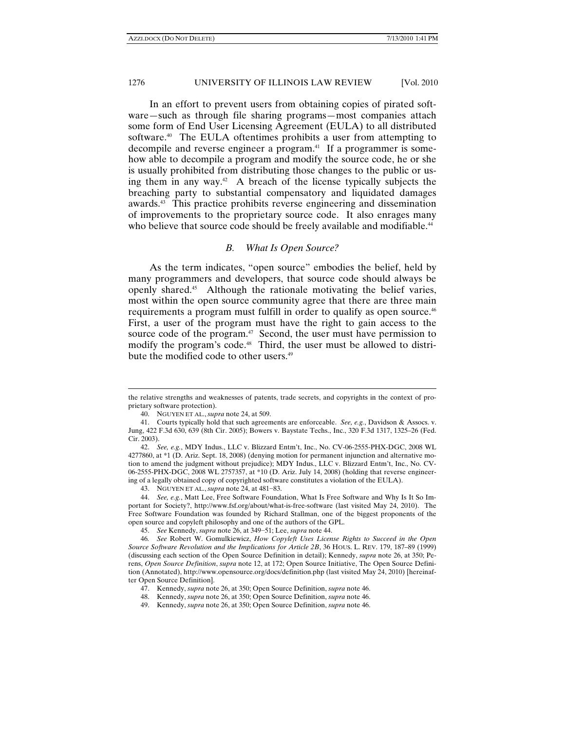In an effort to prevent users from obtaining copies of pirated software—such as through file sharing programs—most companies attach some form of End User Licensing Agreement (EULA) to all distributed software.<sup>40</sup> The EULA oftentimes prohibits a user from attempting to decompile and reverse engineer a program.<sup>41</sup> If a programmer is somehow able to decompile a program and modify the source code, he or she is usually prohibited from distributing those changes to the public or using them in any way. $42$  A breach of the license typically subjects the breaching party to substantial compensatory and liquidated damages awards.43 This practice prohibits reverse engineering and dissemination of improvements to the proprietary source code. It also enrages many who believe that source code should be freely available and modifiable.<sup>44</sup>

## *B. What Is Open Source?*

As the term indicates, "open source" embodies the belief, held by many programmers and developers, that source code should always be openly shared.45 Although the rationale motivating the belief varies, most within the open source community agree that there are three main requirements a program must fulfill in order to qualify as open source.<sup>46</sup> First, a user of the program must have the right to gain access to the source code of the program.<sup>47</sup> Second, the user must have permission to modify the program's code.<sup>48</sup> Third, the user must be allowed to distribute the modified code to other users.<sup>49</sup>

the relative strengths and weaknesses of patents, trade secrets, and copyrights in the context of proprietary software protection).

 <sup>40.</sup> NGUYEN ET AL., *supra* note 24, at 509.

 <sup>41.</sup> Courts typically hold that such agreements are enforceable. *See, e.g.*, Davidson & Assocs. v. Jung, 422 F.3d 630, 639 (8th Cir. 2005); Bowers v. Baystate Techs., Inc., 320 F.3d 1317, 1325–26 (Fed. Cir. 2003).

 <sup>42.</sup> *See, e.g.*, MDY Indus., LLC v. Blizzard Entm't, Inc., No. CV-06-2555-PHX-DGC, 2008 WL 4277860, at \*1 (D. Ariz. Sept. 18, 2008) (denying motion for permanent injunction and alternative motion to amend the judgment without prejudice); MDY Indus., LLC v. Blizzard Entm't, Inc., No. CV-06-2555-PHX-DGC, 2008 WL 2757357, at \*10 (D. Ariz. July 14, 2008) (holding that reverse engineering of a legally obtained copy of copyrighted software constitutes a violation of the EULA).

 <sup>43.</sup> NGUYEN ET AL., *supra* note 24, at 481−83.

 <sup>44.</sup> *See, e.g.*, Matt Lee, Free Software Foundation, What Is Free Software and Why Is It So Important for Society?, http://www.fsf.org/about/what-is-free-software (last visited May 24, 2010). The Free Software Foundation was founded by Richard Stallman, one of the biggest proponents of the open source and copyleft philosophy and one of the authors of the GPL.

 <sup>45.</sup> *See* Kennedy, *supra* note 26, at 349−51; Lee, *supra* note 44.

<sup>46</sup>*. See* Robert W. Gomulkiewicz, *How Copyleft Uses License Rights to Succeed in the Open Source Software Revolution and the Implications for Article 2B*, 36 HOUS. L. REV. 179, 187–89 (1999) (discussing each section of the Open Source Definition in detail); Kennedy, *supra* note 26, at 350; Perens, *Open Source Definition*, *supra* note 12, at 172; Open Source Initiative, The Open Source Definition (Annotated), http://www.opensource.org/docs/definition.php (last visited May 24, 2010) [hereinafter Open Source Definition].

 <sup>47.</sup> Kennedy, *supra* note 26, at 350; Open Source Definition, *supra* note 46.

 <sup>48.</sup> Kennedy, *supra* note 26, at 350; Open Source Definition, *supra* note 46.

 <sup>49.</sup> Kennedy, *supra* note 26, at 350; Open Source Definition, *supra* note 46.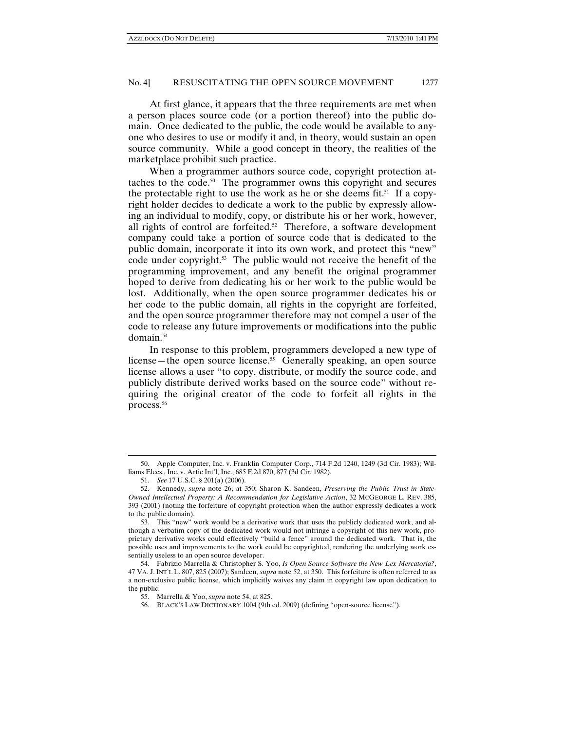At first glance, it appears that the three requirements are met when a person places source code (or a portion thereof) into the public domain. Once dedicated to the public, the code would be available to anyone who desires to use or modify it and, in theory, would sustain an open source community. While a good concept in theory, the realities of the marketplace prohibit such practice.

When a programmer authors source code, copyright protection attaches to the code.50 The programmer owns this copyright and secures the protectable right to use the work as he or she deems fit.<sup>51</sup> If a copyright holder decides to dedicate a work to the public by expressly allowing an individual to modify, copy, or distribute his or her work, however, all rights of control are forfeited. $52$  Therefore, a software development company could take a portion of source code that is dedicated to the public domain, incorporate it into its own work, and protect this "new" code under copyright.53 The public would not receive the benefit of the programming improvement, and any benefit the original programmer hoped to derive from dedicating his or her work to the public would be lost. Additionally, when the open source programmer dedicates his or her code to the public domain, all rights in the copyright are forfeited, and the open source programmer therefore may not compel a user of the code to release any future improvements or modifications into the public domain.<sup>54</sup>

In response to this problem, programmers developed a new type of license—the open source license.<sup>55</sup> Generally speaking, an open source license allows a user "to copy, distribute, or modify the source code, and publicly distribute derived works based on the source code" without requiring the original creator of the code to forfeit all rights in the process.<sup>56</sup>

<sup>50.</sup> Apple Computer, Inc. v. Franklin Computer Corp., 714 F.2d 1240, 1249 (3d Cir. 1983); Williams Elecs., Inc. v. Artic Int'l, Inc., 685 F.2d 870, 877 (3d Cir. 1982).

 <sup>51.</sup> *See* 17 U.S.C. § 201(a) (2006).

 <sup>52.</sup> Kennedy, *supra* note 26, at 350; Sharon K. Sandeen, *Preserving the Public Trust in State-Owned Intellectual Property: A Recommendation for Legislative Action*, 32 MCGEORGE L. REV. 385, 393 (2001) (noting the forfeiture of copyright protection when the author expressly dedicates a work to the public domain).

 <sup>53.</sup> This "new" work would be a derivative work that uses the publicly dedicated work, and although a verbatim copy of the dedicated work would not infringe a copyright of this new work, proprietary derivative works could effectively "build a fence" around the dedicated work. That is, the possible uses and improvements to the work could be copyrighted, rendering the underlying work essentially useless to an open source developer.

 <sup>54.</sup> Fabrizio Marrella & Christopher S. Yoo, *Is Open Source Software the New Lex Mercatoria?*, 47 VA. J. INT'L L. 807, 825 (2007); Sandeen, *supra* note 52, at 350. This forfeiture is often referred to as a non-exclusive public license, which implicitly waives any claim in copyright law upon dedication to the public.

 <sup>55.</sup> Marrella & Yoo, *supra* note 54, at 825.

 <sup>56.</sup> BLACK'S LAW DICTIONARY 1004 (9th ed. 2009) (defining "open-source license").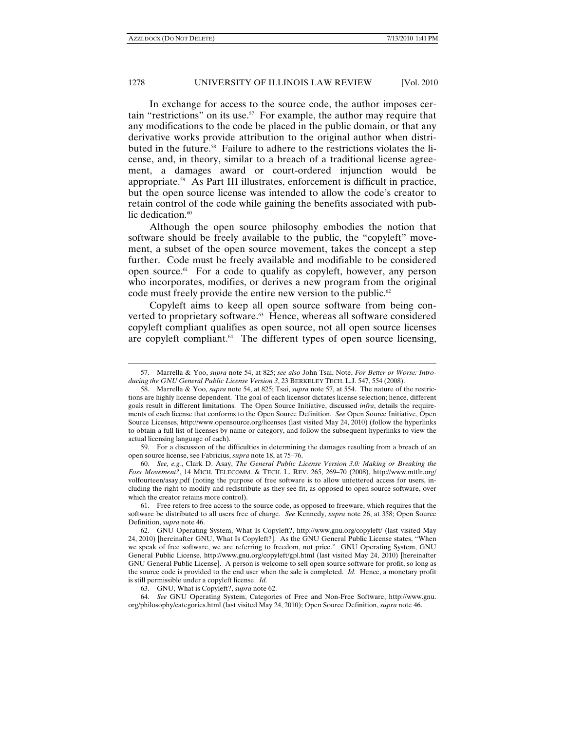$\overline{a}$ 

#### 1278 UNIVERSITY OF ILLINOIS LAW REVIEW [Vol. 2010]

In exchange for access to the source code, the author imposes certain "restrictions" on its use.<sup>57</sup> For example, the author may require that any modifications to the code be placed in the public domain, or that any derivative works provide attribution to the original author when distributed in the future.58 Failure to adhere to the restrictions violates the license, and, in theory, similar to a breach of a traditional license agreement, a damages award or court-ordered injunction would be appropriate.59 As Part III illustrates, enforcement is difficult in practice, but the open source license was intended to allow the code's creator to retain control of the code while gaining the benefits associated with public dedication.<sup>60</sup>

Although the open source philosophy embodies the notion that software should be freely available to the public, the "copyleft" movement, a subset of the open source movement, takes the concept a step further. Code must be freely available and modifiable to be considered open source.61 For a code to qualify as copyleft, however, any person who incorporates, modifies, or derives a new program from the original code must freely provide the entire new version to the public.<sup>62</sup>

Copyleft aims to keep all open source software from being converted to proprietary software.<sup>63</sup> Hence, whereas all software considered copyleft compliant qualifies as open source, not all open source licenses are copyleft compliant. $64$  The different types of open source licensing,

 59. For a discussion of the difficulties in determining the damages resulting from a breach of an open source license, see Fabricius, *supra* note 18, at 75–76.

 60. *See, e.g.*, Clark D. Asay, *The General Public License Version 3.0: Making or Breaking the Foss Movement?*, 14 MICH. TELECOMM. & TECH. L. REV. 265, 269–70 (2008), http://www.mttlr.org/ volfourteen/asay.pdf (noting the purpose of free software is to allow unfettered access for users, including the right to modify and redistribute as they see fit, as opposed to open source software, over which the creator retains more control).

 61. Free refers to free access to the source code, as opposed to freeware, which requires that the software be distributed to all users free of charge. *See* Kennedy, *supra* note 26, at 358; Open Source Definition, *supra* note 46.

63. GNU, What is Copyleft?, *supra* note 62.

 64. *See* GNU Operating System, Categories of Free and Non-Free Software, http://www.gnu. org/philosophy/categories.html (last visited May 24, 2010); Open Source Definition, *supra* note 46.

<sup>57.</sup> Marrella & Yoo, *supra* note 54, at 825; *see also* John Tsai, Note, *For Better or Worse: Introducing the GNU General Public License Version 3*, 23 BERKELEY TECH. L.J. 547, 554 (2008).

 <sup>58.</sup> Marrella & Yoo, *supra* note 54, at 825; Tsai, *supra* note 57, at 554. The nature of the restrictions are highly license dependent. The goal of each licensor dictates license selection; hence, different goals result in different limitations. The Open Source Initiative, discussed *infra*, details the requirements of each license that conforms to the Open Source Definition. *See* Open Source Initiative, Open Source Licenses, http://www.opensource.org/licenses (last visited May 24, 2010) (follow the hyperlinks to obtain a full list of licenses by name or category, and follow the subsequent hyperlinks to view the actual licensing language of each).

 <sup>62.</sup> GNU Operating System, What Is Copyleft?, http://www.gnu.org/copyleft/ (last visited May 24, 2010) [hereinafter GNU, What Is Copyleft?]. As the GNU General Public License states, "When we speak of free software, we are referring to freedom, not price." GNU Operating System, GNU General Public License, http://www.gnu.org/copyleft/gpl.html (last visited May 24, 2010) [hereinafter GNU General Public License]. A person is welcome to sell open source software for profit, so long as the source code is provided to the end user when the sale is completed. *Id.* Hence, a monetary profit is still permissible under a copyleft license. *Id.*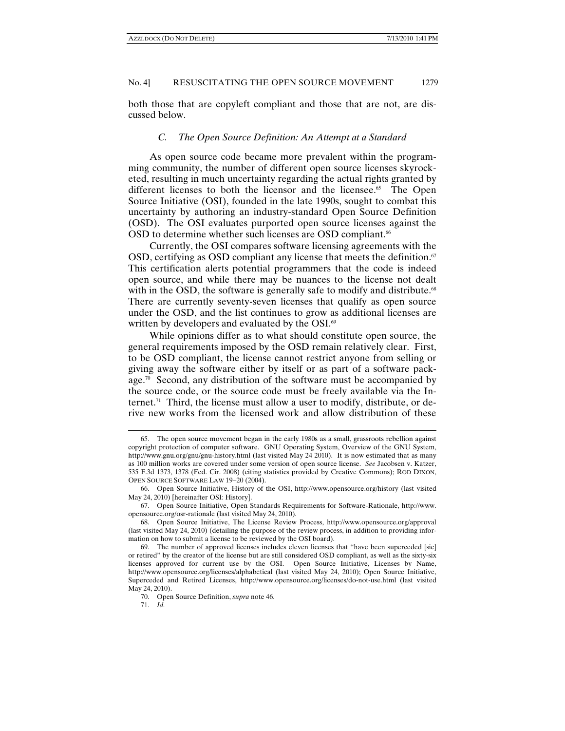both those that are copyleft compliant and those that are not, are discussed below.

### *C. The Open Source Definition: An Attempt at a Standard*

As open source code became more prevalent within the programming community, the number of different open source licenses skyrocketed, resulting in much uncertainty regarding the actual rights granted by different licenses to both the licensor and the licensee.<sup>65</sup> The Open Source Initiative (OSI), founded in the late 1990s, sought to combat this uncertainty by authoring an industry-standard Open Source Definition (OSD). The OSI evaluates purported open source licenses against the OSD to determine whether such licenses are OSD compliant.<sup>66</sup>

Currently, the OSI compares software licensing agreements with the OSD, certifying as OSD compliant any license that meets the definition. $\mathfrak{g}$ This certification alerts potential programmers that the code is indeed open source, and while there may be nuances to the license not dealt with in the OSD, the software is generally safe to modify and distribute.<sup>68</sup> There are currently seventy-seven licenses that qualify as open source under the OSD, and the list continues to grow as additional licenses are written by developers and evaluated by the OSI.<sup>69</sup>

While opinions differ as to what should constitute open source, the general requirements imposed by the OSD remain relatively clear. First, to be OSD compliant, the license cannot restrict anyone from selling or giving away the software either by itself or as part of a software package.<sup>70</sup> Second, any distribution of the software must be accompanied by the source code, or the source code must be freely available via the Internet.<sup>71</sup> Third, the license must allow a user to modify, distribute, or derive new works from the licensed work and allow distribution of these

<sup>65.</sup> The open source movement began in the early 1980s as a small, grassroots rebellion against copyright protection of computer software. GNU Operating System, Overview of the GNU System, http://www.gnu.org/gnu/gnu-history.html (last visited May 24 2010). It is now estimated that as many as 100 million works are covered under some version of open source license. *See* Jacobsen v. Katzer, 535 F.3d 1373, 1378 (Fed. Cir. 2008) (citing statistics provided by Creative Commons); ROD DIXON, OPEN SOURCE SOFTWARE LAW 19−20 (2004).

 <sup>66.</sup> Open Source Initiative, History of the OSI, http://www.opensource.org/history (last visited May 24, 2010) [hereinafter OSI: History].

 <sup>67.</sup> Open Source Initiative, Open Standards Requirements for Software-Rationale, http://www. opensource.org/osr-rationale (last visited May 24, 2010).

 <sup>68.</sup> Open Source Initiative, The License Review Process, http://www.opensource.org/approval (last visited May 24, 2010) (detailing the purpose of the review process, in addition to providing information on how to submit a license to be reviewed by the OSI board).

 <sup>69.</sup> The number of approved licenses includes eleven licenses that "have been superceded [sic] or retired" by the creator of the license but are still considered OSD compliant, as well as the sixty-six licenses approved for current use by the OSI. Open Source Initiative, Licenses by Name, http://www.opensource.org/licenses/alphabetical (last visited May 24, 2010); Open Source Initiative, Superceded and Retired Licenses, http://www.opensource.org/licenses/do-not-use.html (last visited May 24, 2010).

 <sup>70.</sup> Open Source Definition, *supra* note 46.

 <sup>71.</sup> *Id.*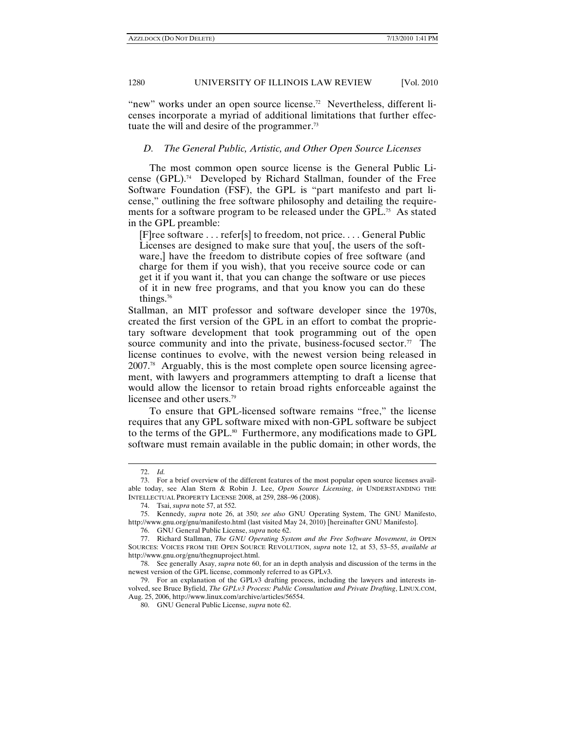"new" works under an open source license.<sup>72</sup> Nevertheless, different licenses incorporate a myriad of additional limitations that further effectuate the will and desire of the programmer.<sup>73</sup>

## *D. The General Public, Artistic, and Other Open Source Licenses*

The most common open source license is the General Public License (GPL).74 Developed by Richard Stallman, founder of the Free Software Foundation (FSF), the GPL is "part manifesto and part license," outlining the free software philosophy and detailing the requirements for a software program to be released under the GPL.<sup>75</sup> As stated in the GPL preamble:

[F]ree software . . . refer[s] to freedom, not price. . . . General Public Licenses are designed to make sure that you, the users of the software,] have the freedom to distribute copies of free software (and charge for them if you wish), that you receive source code or can get it if you want it, that you can change the software or use pieces of it in new free programs, and that you know you can do these things.76

Stallman, an MIT professor and software developer since the 1970s, created the first version of the GPL in an effort to combat the proprietary software development that took programming out of the open source community and into the private, business-focused sector.<sup>77</sup> The license continues to evolve, with the newest version being released in 2007.78 Arguably, this is the most complete open source licensing agreement, with lawyers and programmers attempting to draft a license that would allow the licensor to retain broad rights enforceable against the licensee and other users.<sup>79</sup>

To ensure that GPL-licensed software remains "free," the license requires that any GPL software mixed with non-GPL software be subject to the terms of the GPL.<sup>80</sup> Furthermore, any modifications made to GPL software must remain available in the public domain; in other words, the

<sup>72.</sup> *Id.*

 <sup>73.</sup> For a brief overview of the different features of the most popular open source licenses available today, see Alan Stern & Robin J. Lee, *Open Source Licensing*, *in* UNDERSTANDING THE INTELLECTUAL PROPERTY LICENSE 2008, at 259, 288–96 (2008).

 <sup>74.</sup> Tsai, *supra* note 57, at 552.

 <sup>75.</sup> Kennedy, *supra* note 26, at 350; *see also* GNU Operating System, The GNU Manifesto, http://www.gnu.org/gnu/manifesto.html (last visited May 24, 2010) [hereinafter GNU Manifesto].

 <sup>76.</sup> GNU General Public License, *supra* note 62.

 <sup>77.</sup> Richard Stallman, *The GNU Operating System and the Free Software Movement*, *in* OPEN SOURCES: VOICES FROM THE OPEN SOURCE REVOLUTION, *supra* note 12, at 53, 53–55, *available at* http://www.gnu.org/gnu/thegnuproject.html.

 <sup>78.</sup> See generally Asay, *supra* note 60, for an in depth analysis and discussion of the terms in the newest version of the GPL license, commonly referred to as GPLv3.

 <sup>79.</sup> For an explanation of the GPLv3 drafting process, including the lawyers and interests involved, see Bruce Byfield, *The GPLv3 Process: Public Consultation and Private Drafting*, LINUX.COM, Aug. 25, 2006, http://www.linux.com/archive/articles/56554.

 <sup>80.</sup> GNU General Public License, *supra* note 62.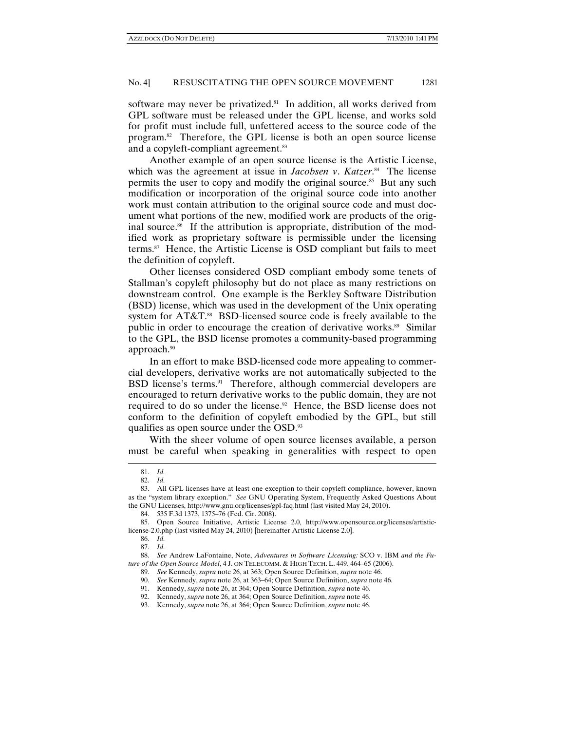software may never be privatized.<sup>81</sup> In addition, all works derived from GPL software must be released under the GPL license, and works sold for profit must include full, unfettered access to the source code of the program.82 Therefore, the GPL license is both an open source license and a copyleft-compliant agreement.<sup>83</sup>

Another example of an open source license is the Artistic License, which was the agreement at issue in *Jacobsen v*. *Katzer*. 84 The license permits the user to copy and modify the original source.<sup>85</sup> But any such modification or incorporation of the original source code into another work must contain attribution to the original source code and must document what portions of the new, modified work are products of the original source.<sup>86</sup> If the attribution is appropriate, distribution of the modified work as proprietary software is permissible under the licensing terms.87 Hence, the Artistic License is OSD compliant but fails to meet the definition of copyleft.

Other licenses considered OSD compliant embody some tenets of Stallman's copyleft philosophy but do not place as many restrictions on downstream control. One example is the Berkley Software Distribution (BSD) license, which was used in the development of the Unix operating system for  $AT&T$ <sup>88</sup> BSD-licensed source code is freely available to the public in order to encourage the creation of derivative works.<sup>89</sup> Similar to the GPL, the BSD license promotes a community-based programming approach.<sup>90</sup>

In an effort to make BSD-licensed code more appealing to commercial developers, derivative works are not automatically subjected to the BSD license's terms.<sup>91</sup> Therefore, although commercial developers are encouraged to return derivative works to the public domain, they are not required to do so under the license.<sup>92</sup> Hence, the BSD license does not conform to the definition of copyleft embodied by the GPL, but still qualifies as open source under the OSD.93

With the sheer volume of open source licenses available, a person must be careful when speaking in generalities with respect to open

<sup>81.</sup> *Id.*

 <sup>82.</sup> *Id.*

 <sup>83.</sup> All GPL licenses have at least one exception to their copyleft compliance, however, known as the "system library exception." *See* GNU Operating System, Frequently Asked Questions About the GNU Licenses, http://www.gnu.org/licenses/gpl-faq.html (last visited May 24, 2010).

 <sup>84. 535</sup> F.3d 1373, 1375–76 (Fed. Cir. 2008).

 <sup>85.</sup> Open Source Initiative, Artistic License 2.0, http://www.opensource.org/licenses/artisticlicense-2.0.php (last visited May 24, 2010) [hereinafter Artistic License 2.0].

 <sup>86.</sup> *Id.*

 <sup>87.</sup> *Id.*

 <sup>88.</sup> *See* Andrew LaFontaine, Note, *Adventures in Software Licensing:* SCO v. IBM *and the Future of the Open Source Model*, 4 J. ON TELECOMM. & HIGH TECH. L. 449, 464–65 (2006).

 <sup>89.</sup> *See* Kennedy, *supra* note 26, at 363; Open Source Definition, *supra* note 46.

 <sup>90.</sup> *See* Kennedy, *supra* note 26, at 363–64; Open Source Definition, *supra* note 46.

 <sup>91.</sup> Kennedy, *supra* note 26, at 364; Open Source Definition, *supra* note 46.

 <sup>92.</sup> Kennedy, *supra* note 26, at 364; Open Source Definition, *supra* note 46.

 <sup>93.</sup> Kennedy, *supra* note 26, at 364; Open Source Definition, *supra* note 46.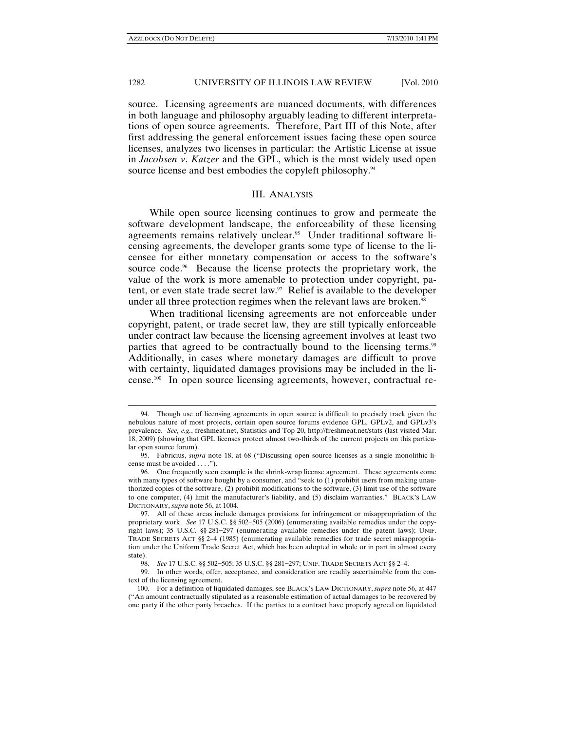$\overline{a}$ 

#### 1282 UNIVERSITY OF ILLINOIS LAW REVIEW [Vol. 2010

source. Licensing agreements are nuanced documents, with differences in both language and philosophy arguably leading to different interpretations of open source agreements. Therefore, Part III of this Note, after first addressing the general enforcement issues facing these open source licenses, analyzes two licenses in particular: the Artistic License at issue in *Jacobsen v*. *Katzer* and the GPL, which is the most widely used open source license and best embodies the copyleft philosophy.<sup>94</sup>

#### III. ANALYSIS

While open source licensing continues to grow and permeate the software development landscape, the enforceability of these licensing agreements remains relatively unclear.95 Under traditional software licensing agreements, the developer grants some type of license to the licensee for either monetary compensation or access to the software's source code.<sup>96</sup> Because the license protects the proprietary work, the value of the work is more amenable to protection under copyright, patent, or even state trade secret law.<sup>97</sup> Relief is available to the developer under all three protection regimes when the relevant laws are broken.<sup>98</sup>

When traditional licensing agreements are not enforceable under copyright, patent, or trade secret law, they are still typically enforceable under contract law because the licensing agreement involves at least two parties that agreed to be contractually bound to the licensing terms.<sup>99</sup> Additionally, in cases where monetary damages are difficult to prove with certainty, liquidated damages provisions may be included in the license.100 In open source licensing agreements, however, contractual re-

<sup>94.</sup> Though use of licensing agreements in open source is difficult to precisely track given the nebulous nature of most projects, certain open source forums evidence GPL, GPLv2, and GPLv3's prevalence. *See, e.g.*, freshmeat.net, Statistics and Top 20, http://freshmeat.net/stats (last visited Mar. 18, 2009) (showing that GPL licenses protect almost two-thirds of the current projects on this particular open source forum).

 <sup>95.</sup> Fabricius, *supra* note 18, at 68 ("Discussing open source licenses as a single monolithic license must be avoided . . . .").

 <sup>96.</sup> One frequently seen example is the shrink-wrap license agreement. These agreements come with many types of software bought by a consumer, and "seek to (1) prohibit users from making unauthorized copies of the software, (2) prohibit modifications to the software, (3) limit use of the software to one computer, (4) limit the manufacturer's liability, and (5) disclaim warranties." BLACK'S LAW DICTIONARY, *supra* note 56, at 1004.

 <sup>97.</sup> All of these areas include damages provisions for infringement or misappropriation of the proprietary work. *See* 17 U.S.C. §§ 502−505 (2006) (enumerating available remedies under the copyright laws); 35 U.S.C. §§ 281−297 (enumerating available remedies under the patent laws); UNIF. TRADE SECRETS ACT §§ 2–4 (1985) (enumerating available remedies for trade secret misappropriation under the Uniform Trade Secret Act, which has been adopted in whole or in part in almost every state).

 <sup>98.</sup> *See* 17 U.S.C. §§ 502−505; 35 U.S.C. §§ 281−297; UNIF. TRADE SECRETS ACT §§ 2–4.

 <sup>99.</sup> In other words, offer, acceptance, and consideration are readily ascertainable from the context of the licensing agreement.

 <sup>100.</sup> For a definition of liquidated damages, see BLACK'S LAW DICTIONARY, *supra* note 56, at 447 ("An amount contractually stipulated as a reasonable estimation of actual damages to be recovered by one party if the other party breaches. If the parties to a contract have properly agreed on liquidated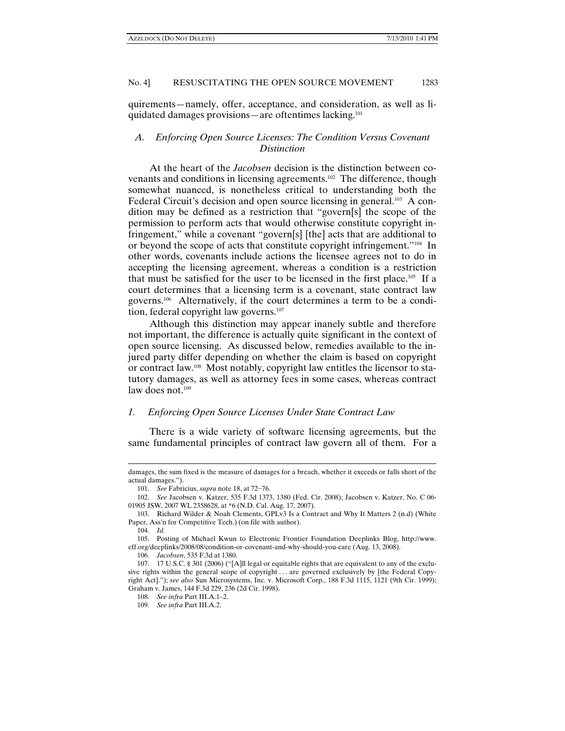quirements—namely, offer, acceptance, and consideration, as well as liquidated damages provisions—are oftentimes lacking.101

# *A. Enforcing Open Source Licenses: The Condition Versus Covenant Distinction*

At the heart of the *Jacobsen* decision is the distinction between covenants and conditions in licensing agreements.102 The difference, though somewhat nuanced, is nonetheless critical to understanding both the Federal Circuit's decision and open source licensing in general.<sup>103</sup> A condition may be defined as a restriction that "govern[s] the scope of the permission to perform acts that would otherwise constitute copyright infringement," while a covenant "govern[s] [the] acts that are additional to or beyond the scope of acts that constitute copyright infringement."104 In other words, covenants include actions the licensee agrees not to do in accepting the licensing agreement, whereas a condition is a restriction that must be satisfied for the user to be licensed in the first place.105 If a court determines that a licensing term is a covenant, state contract law governs.106 Alternatively, if the court determines a term to be a condition, federal copyright law governs.<sup>107</sup>

Although this distinction may appear inanely subtle and therefore not important, the difference is actually quite significant in the context of open source licensing. As discussed below, remedies available to the injured party differ depending on whether the claim is based on copyright or contract law.108 Most notably, copyright law entitles the licensor to statutory damages, as well as attorney fees in some cases, whereas contract law does not. $109$ 

# *1. Enforcing Open Source Licenses Under State Contract Law*

There is a wide variety of software licensing agreements, but the same fundamental principles of contract law govern all of them. For a

damages, the sum fixed is the measure of damages for a breach, whether it exceeds or falls short of the actual damages.").

 <sup>101.</sup> *See* Fabricius, *supra* note 18, at 72−76.

 <sup>102.</sup> *See* Jacobsen v. Katzer, 535 F.3d 1373, 1380 (Fed. Cir. 2008); Jacobsen v. Katzer, No. C 06- 01905 JSW, 2007 WL 2358628, at \*6 (N.D. Cal. Aug. 17, 2007).

 <sup>103.</sup> Richard Wilder & Noah Clements, GPLv3 Is a Contract and Why It Matters 2 (n.d) (White Paper, Ass'n for Competitive Tech.) (on file with author).

 <sup>104.</sup> *Id.* 

 <sup>105.</sup> Posting of Michael Kwun to Electronic Frontier Foundation Deeplinks Blog, http://www. eff.org/deeplinks/2008/08/condition-or-covenant-and-why-should-you-care (Aug. 13, 2008).

 <sup>106.</sup> *Jacobsen*, 535 F.3d at 1380.

 <sup>107. 17</sup> U.S.C. § 301 (2006) ("[A]ll legal or equitable rights that are equivalent to any of the exclusive rights within the general scope of copyright . . . are governed exclusively by [the Federal Copyright Act]."); *see also* Sun Microsystems, Inc. v. Microsoft Corp., 188 F.3d 1115, 1121 (9th Cir. 1999); Graham v. James, 144 F.3d 229, 236 (2d Cir. 1998).

 <sup>108.</sup> *See infra* Part III.A.1–2.

 <sup>109.</sup> *See infra* Part III.A.2.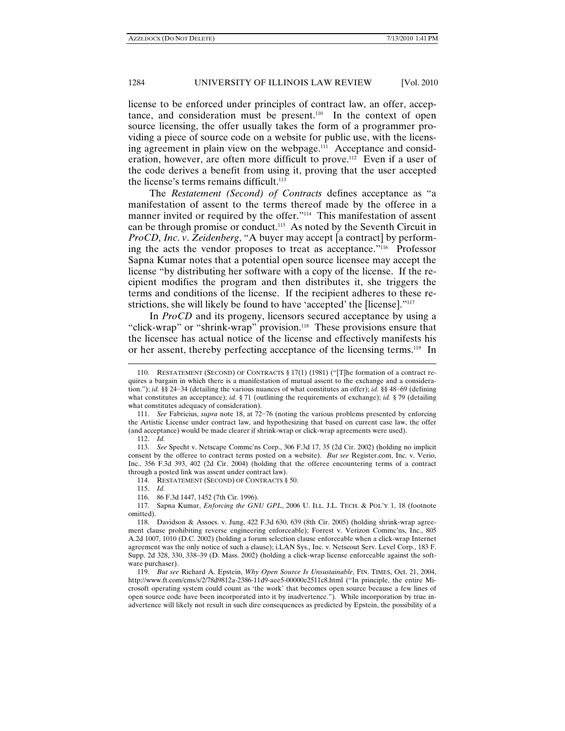license to be enforced under principles of contract law, an offer, acceptance, and consideration must be present.<sup>110</sup> In the context of open source licensing, the offer usually takes the form of a programmer providing a piece of source code on a website for public use, with the licensing agreement in plain view on the webpage.111 Acceptance and consideration, however, are often more difficult to prove.112 Even if a user of the code derives a benefit from using it, proving that the user accepted the license's terms remains difficult.<sup>113</sup>

The *Restatement (Second) of Contracts* defines acceptance as "a manifestation of assent to the terms thereof made by the offeree in a manner invited or required by the offer."114 This manifestation of assent can be through promise or conduct.115 As noted by the Seventh Circuit in *ProCD, Inc*. *v*. *Zeidenberg*, "A buyer may accept [a contract] by performing the acts the vendor proposes to treat as acceptance."116 Professor Sapna Kumar notes that a potential open source licensee may accept the license "by distributing her software with a copy of the license. If the recipient modifies the program and then distributes it, she triggers the terms and conditions of the license. If the recipient adheres to these restrictions, she will likely be found to have 'accepted' the [license]."<sup>117</sup>

In *ProCD* and its progeny, licensors secured acceptance by using a "click-wrap" or "shrink-wrap" provision.<sup>118</sup> These provisions ensure that the licensee has actual notice of the license and effectively manifests his or her assent, thereby perfecting acceptance of the licensing terms.<sup>119</sup> In

 $\overline{a}$ 

114. RESTATEMENT (SECOND) OF CONTRACTS § 50.

115. *Id.* 

116. 86 F.3d 1447, 1452 (7th Cir. 1996).

 117. Sapna Kumar, *Enforcing the GNU GPL*, 2006 U. ILL. J.L. TECH. & POL'Y 1, 18 (footnote omitted).

<sup>110.</sup> RESTATEMENT (SECOND) OF CONTRACTS § 17(1) (1981) ("[T]he formation of a contract requires a bargain in which there is a manifestation of mutual assent to the exchange and a consideration."); *id.* §§ 24−34 (detailing the various nuances of what constitutes an offer); *id.* §§ 48−69 (defining what constitutes an acceptance); *id.* § 71 (outlining the requirements of exchange); *id.* § 79 (detailing what constitutes adequacy of consideration).

 <sup>111.</sup> *See* Fabricius, *supra* note 18, at 72−76 (noting the various problems presented by enforcing the Artistic License under contract law, and hypothesizing that based on current case law, the offer (and acceptance) would be made clearer if shrink-wrap or click-wrap agreements were used).

 <sup>112.</sup> *Id.*

 <sup>113.</sup> *See* Specht v. Netscape Commc'ns Corp., 306 F.3d 17, 35 (2d Cir. 2002) (holding no implicit consent by the offeree to contract terms posted on a website). *But see* Register.com, Inc. v. Verio, Inc., 356 F.3d 393, 402 (2d Cir. 2004) (holding that the offeree encountering terms of a contract through a posted link was assent under contract law).

 <sup>118.</sup> Davidson & Assocs. v. Jung, 422 F.3d 630, 639 (8th Cir. 2005) (holding shrink-wrap agreement clause prohibiting reverse engineering enforceable); Forrest v. Verizon Commc'ns, Inc., 805 A.2d 1007, 1010 (D.C. 2002) (holding a forum selection clause enforceable when a click-wrap Internet agreement was the only notice of such a clause); i.LAN Sys., Inc. v. Netscout Serv. Level Corp., 183 F. Supp. 2d 328, 330, 338–39 (D. Mass. 2002) (holding a click-wrap license enforceable against the software purchaser).

 <sup>119.</sup> *But see* Richard A. Epstein, *Why Open Source Is Unsustainable*, FIN. TIMES, Oct. 21, 2004, http://www.ft.com/cms/s/2/78d9812a-2386-11d9-aee5-00000e2511c8.html ("In principle, the entire Microsoft operating system could count as 'the work' that becomes open source because a few lines of open source code have been incorporated into it by inadvertence."). While incorporation by true inadvertence will likely not result in such dire consequences as predicted by Epstein, the possibility of a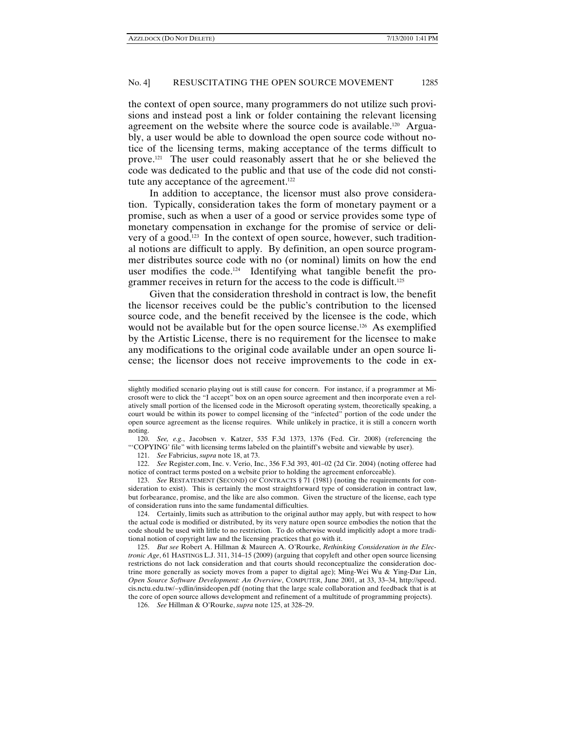the context of open source, many programmers do not utilize such provisions and instead post a link or folder containing the relevant licensing agreement on the website where the source code is available.<sup>120</sup> Arguably, a user would be able to download the open source code without notice of the licensing terms, making acceptance of the terms difficult to prove.121 The user could reasonably assert that he or she believed the code was dedicated to the public and that use of the code did not constitute any acceptance of the agreement.<sup>122</sup>

In addition to acceptance, the licensor must also prove consideration. Typically, consideration takes the form of monetary payment or a promise, such as when a user of a good or service provides some type of monetary compensation in exchange for the promise of service or delivery of a good.123 In the context of open source, however, such traditional notions are difficult to apply. By definition, an open source programmer distributes source code with no (or nominal) limits on how the end user modifies the code.<sup>124</sup> Identifying what tangible benefit the programmer receives in return for the access to the code is difficult.<sup>125</sup>

Given that the consideration threshold in contract is low, the benefit the licensor receives could be the public's contribution to the licensed source code, and the benefit received by the licensee is the code, which would not be available but for the open source license.<sup>126</sup> As exemplified by the Artistic License, there is no requirement for the licensee to make any modifications to the original code available under an open source license; the licensor does not receive improvements to the code in ex-

slightly modified scenario playing out is still cause for concern. For instance, if a programmer at Microsoft were to click the "I accept" box on an open source agreement and then incorporate even a relatively small portion of the licensed code in the Microsoft operating system, theoretically speaking, a court would be within its power to compel licensing of the "infected" portion of the code under the open source agreement as the license requires. While unlikely in practice, it is still a concern worth noting.

 <sup>120.</sup> *See, e.g.*, Jacobsen v. Katzer, 535 F.3d 1373, 1376 (Fed. Cir. 2008) (referencing the "'COPYING' file" with licensing terms labeled on the plaintiff's website and viewable by user).

 <sup>121.</sup> *See* Fabricius, *supra* note 18, at 73.

 <sup>122.</sup> *See* Register.com, Inc. v. Verio, Inc., 356 F.3d 393, 401–02 (2d Cir. 2004) (noting offeree had notice of contract terms posted on a website prior to holding the agreement enforceable).

 <sup>123.</sup> *See* RESTATEMENT (SECOND) OF CONTRACTS § 71 (1981) (noting the requirements for consideration to exist). This is certainly the most straightforward type of consideration in contract law, but forbearance, promise, and the like are also common. Given the structure of the license, each type of consideration runs into the same fundamental difficulties.

 <sup>124.</sup> Certainly, limits such as attribution to the original author may apply, but with respect to how the actual code is modified or distributed, by its very nature open source embodies the notion that the code should be used with little to no restriction. To do otherwise would implicitly adopt a more traditional notion of copyright law and the licensing practices that go with it.

 <sup>125.</sup> *But see* Robert A. Hillman & Maureen A. O'Rourke, *Rethinking Consideration in the Electronic Age*, 61 HASTINGS L.J. 311, 314–15 (2009) (arguing that copyleft and other open source licensing restrictions do not lack consideration and that courts should reconceptualize the consideration doctrine more generally as society moves from a paper to digital age); Ming-Wei Wu & Ying-Dar Lin, *Open Source Software Development: An Overview*, COMPUTER, June 2001, at 33, 33–34, http://speed. cis.nctu.edu.tw/~ydlin/insideopen.pdf (noting that the large scale collaboration and feedback that is at the core of open source allows development and refinement of a multitude of programming projects).

 <sup>126.</sup> *See* Hillman & O'Rourke, *supra* note 125, at 328–29.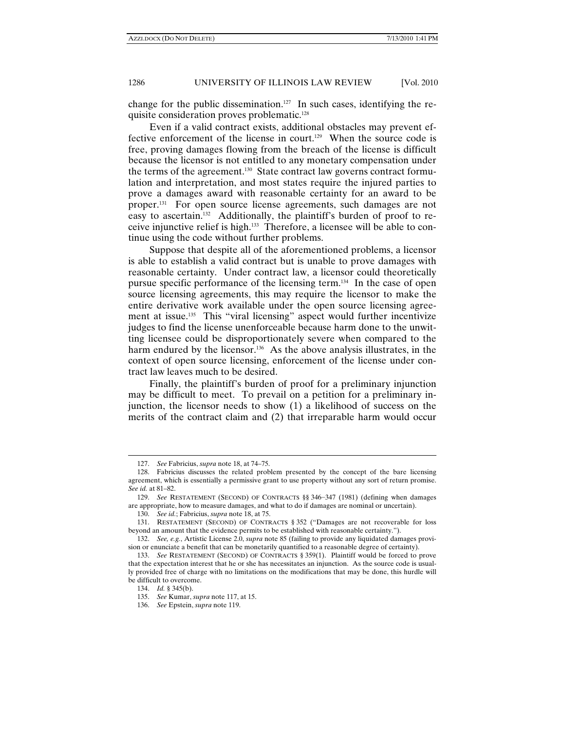change for the public dissemination.<sup>127</sup> In such cases, identifying the requisite consideration proves problematic.128

Even if a valid contract exists, additional obstacles may prevent effective enforcement of the license in court.<sup>129</sup> When the source code is free, proving damages flowing from the breach of the license is difficult because the licensor is not entitled to any monetary compensation under the terms of the agreement.<sup>130</sup> State contract law governs contract formulation and interpretation, and most states require the injured parties to prove a damages award with reasonable certainty for an award to be proper.131 For open source license agreements, such damages are not easy to ascertain.<sup>132</sup> Additionally, the plaintiff's burden of proof to receive injunctive relief is high.133 Therefore, a licensee will be able to continue using the code without further problems.

Suppose that despite all of the aforementioned problems, a licensor is able to establish a valid contract but is unable to prove damages with reasonable certainty. Under contract law, a licensor could theoretically pursue specific performance of the licensing term.134 In the case of open source licensing agreements, this may require the licensor to make the entire derivative work available under the open source licensing agreement at issue.<sup>135</sup> This "viral licensing" aspect would further incentivize judges to find the license unenforceable because harm done to the unwitting licensee could be disproportionately severe when compared to the harm endured by the licensor.<sup>136</sup> As the above analysis illustrates, in the context of open source licensing, enforcement of the license under contract law leaves much to be desired.

Finally, the plaintiff's burden of proof for a preliminary injunction may be difficult to meet. To prevail on a petition for a preliminary injunction, the licensor needs to show (1) a likelihood of success on the merits of the contract claim and (2) that irreparable harm would occur

<sup>127.</sup> *See* Fabricius, *supra* note 18, at 74–75.

 <sup>128.</sup> Fabricius discusses the related problem presented by the concept of the bare licensing agreement, which is essentially a permissive grant to use property without any sort of return promise. *See id.* at 81–82.

 <sup>129.</sup> *See* RESTATEMENT (SECOND) OF CONTRACTS §§ 346−347 (1981) (defining when damages are appropriate, how to measure damages, and what to do if damages are nominal or uncertain).

 <sup>130.</sup> *See id.*; Fabricius, *supra* note 18, at 75.

 <sup>131.</sup> RESTATEMENT (SECOND) OF CONTRACTS § 352 ("Damages are not recoverable for loss beyond an amount that the evidence permits to be established with reasonable certainty.").

 <sup>132.</sup> *See, e.g.*, Artistic License 2.0, *supra* note 85 (failing to provide any liquidated damages provision or enunciate a benefit that can be monetarily quantified to a reasonable degree of certainty).

 <sup>133.</sup> *See* RESTATEMENT (SECOND) OF CONTRACTS § 359(1). Plaintiff would be forced to prove that the expectation interest that he or she has necessitates an injunction. As the source code is usually provided free of charge with no limitations on the modifications that may be done, this hurdle will be difficult to overcome.

 <sup>134.</sup> *Id.* § 345(b).

 <sup>135.</sup> *See* Kumar, *supra* note 117, at 15.

 <sup>136.</sup> *See* Epstein, *supra* note 119.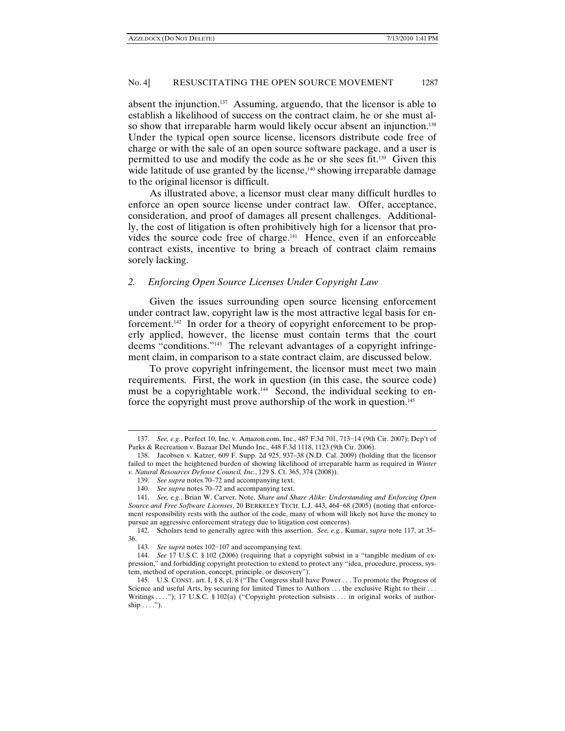absent the injunction.137 Assuming, arguendo, that the licensor is able to establish a likelihood of success on the contract claim, he or she must also show that irreparable harm would likely occur absent an injunction.<sup>138</sup> Under the typical open source license, licensors distribute code free of charge or with the sale of an open source software package, and a user is permitted to use and modify the code as he or she sees fit.139 Given this wide latitude of use granted by the license, $140$  showing irreparable damage to the original licensor is difficult.

As illustrated above, a licensor must clear many difficult hurdles to enforce an open source license under contract law. Offer, acceptance, consideration, and proof of damages all present challenges. Additionally, the cost of litigation is often prohibitively high for a licensor that provides the source code free of charge.141 Hence, even if an enforceable contract exists, incentive to bring a breach of contract claim remains sorely lacking.

### *2. Enforcing Open Source Licenses Under Copyright Law*

Given the issues surrounding open source licensing enforcement under contract law, copyright law is the most attractive legal basis for enforcement.<sup>142</sup> In order for a theory of copyright enforcement to be properly applied, however, the license must contain terms that the court deems "conditions."143 The relevant advantages of a copyright infringement claim, in comparison to a state contract claim, are discussed below.

To prove copyright infringement, the licensor must meet two main requirements. First, the work in question (in this case, the source code) must be a copyrightable work.<sup>144</sup> Second, the individual seeking to enforce the copyright must prove authorship of the work in question.<sup>145</sup>

<sup>137.</sup> *See, e.g.*, Perfect 10, Inc. v. Amazon.com, Inc., 487 F.3d 701, 713−14 (9th Cir. 2007); Dep't of Parks & Recreation v. Bazaar Del Mundo Inc., 448 F.3d 1118, 1123 (9th Cir. 2006).

 <sup>138.</sup> Jacobsen v. Katzer, 609 F. Supp. 2d 925, 937–38 (N.D. Cal. 2009) (holding that the licensor failed to meet the heightened burden of showing likelihood of irreparable harm as required in *Winter v. Natural Resources Defense Council, Inc.*, 129 S. Ct. 365, 374 (2008)).

 <sup>139.</sup> *See supra* notes 70–72 and accompanying text.

 <sup>140.</sup> *See supra* notes 70–72 and accompanying text.

 <sup>141.</sup> *See, e.g.*, Brian W. Carver, Note, *Share and Share Alike: Understanding and Enforcing Open Source and Free Software Licenses*, 20 BERKELEY TECH. L.J. 443, 464−68 (2005) (noting that enforcement responsibility rests with the author of the code, many of whom will likely not have the money to pursue an aggressive enforcement strategy due to litigation cost concerns).

 <sup>142.</sup> Scholars tend to generally agree with this assertion. *See, e.g.*, Kumar, *supra* note 117, at 35– 36.

 <sup>143.</sup> *See supra* notes 102−107 and accompanying text.

 <sup>144.</sup> *See* 17 U.S.C. § 102 (2006) (requiring that a copyright subsist in a "tangible medium of expression," and forbidding copyright protection to extend to protect any "idea, procedure, process, system, method of operation, concept, principle, or discovery").

 <sup>145.</sup> U.S. CONST. art. I, § 8, cl. 8 ("The Congress shall have Power . . . To promote the Progress of Science and useful Arts, by securing for limited Times to Authors . . . the exclusive Right to their . . . Writings . . . ."); 17 U.S.C. § 102(a) ("Copyright protection subsists . . . in original works of author $ship \ldots$ ").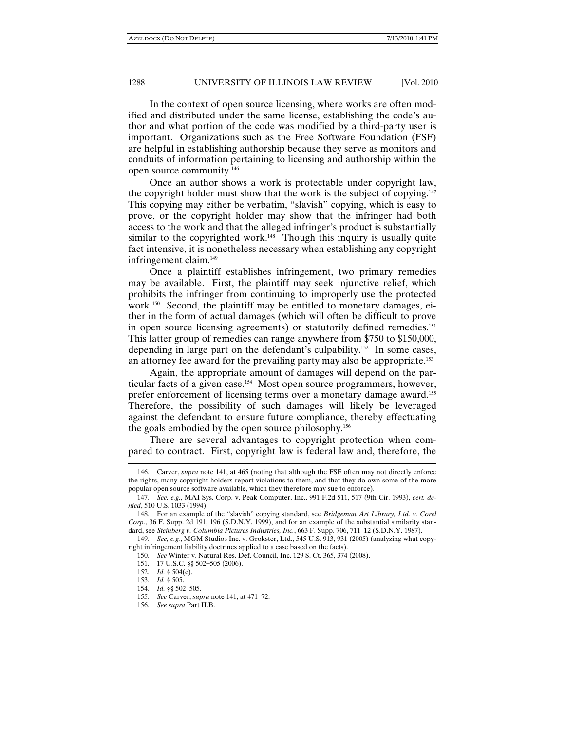In the context of open source licensing, where works are often modified and distributed under the same license, establishing the code's author and what portion of the code was modified by a third-party user is important. Organizations such as the Free Software Foundation (FSF) are helpful in establishing authorship because they serve as monitors and conduits of information pertaining to licensing and authorship within the open source community.146

Once an author shows a work is protectable under copyright law, the copyright holder must show that the work is the subject of copying.<sup>147</sup> This copying may either be verbatim, "slavish" copying, which is easy to prove, or the copyright holder may show that the infringer had both access to the work and that the alleged infringer's product is substantially similar to the copyrighted work.<sup>148</sup> Though this inquiry is usually quite fact intensive, it is nonetheless necessary when establishing any copyright infringement claim.149

Once a plaintiff establishes infringement, two primary remedies may be available. First, the plaintiff may seek injunctive relief, which prohibits the infringer from continuing to improperly use the protected work.150 Second, the plaintiff may be entitled to monetary damages, either in the form of actual damages (which will often be difficult to prove in open source licensing agreements) or statutorily defined remedies.<sup>151</sup> This latter group of remedies can range anywhere from \$750 to \$150,000, depending in large part on the defendant's culpability.152 In some cases, an attorney fee award for the prevailing party may also be appropriate.153

Again, the appropriate amount of damages will depend on the particular facts of a given case.154 Most open source programmers, however, prefer enforcement of licensing terms over a monetary damage award.<sup>155</sup> Therefore, the possibility of such damages will likely be leveraged against the defendant to ensure future compliance, thereby effectuating the goals embodied by the open source philosophy.156

There are several advantages to copyright protection when compared to contract. First, copyright law is federal law and, therefore, the

<sup>146.</sup> Carver, *supra* note 141, at 465 (noting that although the FSF often may not directly enforce the rights, many copyright holders report violations to them, and that they do own some of the more popular open source software available, which they therefore may sue to enforce).

 <sup>147.</sup> *See, e.g.*, MAI Sys. Corp. v. Peak Computer, Inc., 991 F.2d 511, 517 (9th Cir. 1993), *cert. denied*, 510 U.S. 1033 (1994).

 <sup>148.</sup> For an example of the "slavish" copying standard, see *Bridgeman Art Library, Ltd. v. Corel Corp.*, 36 F. Supp. 2d 191, 196 (S.D.N.Y. 1999), and for an example of the substantial similarity standard, see *Steinberg v. Columbia Pictures Industries, Inc.*, 663 F. Supp. 706, 711–12 (S.D.N.Y. 1987).

 <sup>149.</sup> *See, e.g.*, MGM Studios Inc. v. Grokster, Ltd., 545 U.S. 913, 931 (2005) (analyzing what copyright infringement liability doctrines applied to a case based on the facts).

 <sup>150.</sup> *See* Winter v. Natural Res. Def. Council, Inc. 129 S. Ct. 365, 374 (2008).

 <sup>151. 17</sup> U.S.C. §§ 502−505 (2006).

 <sup>152.</sup> *Id.* § 504(c).

 <sup>153.</sup> *Id.* § 505.

 <sup>154.</sup> *Id.* §§ 502–505.

 <sup>155.</sup> *See* Carver, *supra* note 141, at 471–72.

 <sup>156.</sup> *See supra* Part II.B.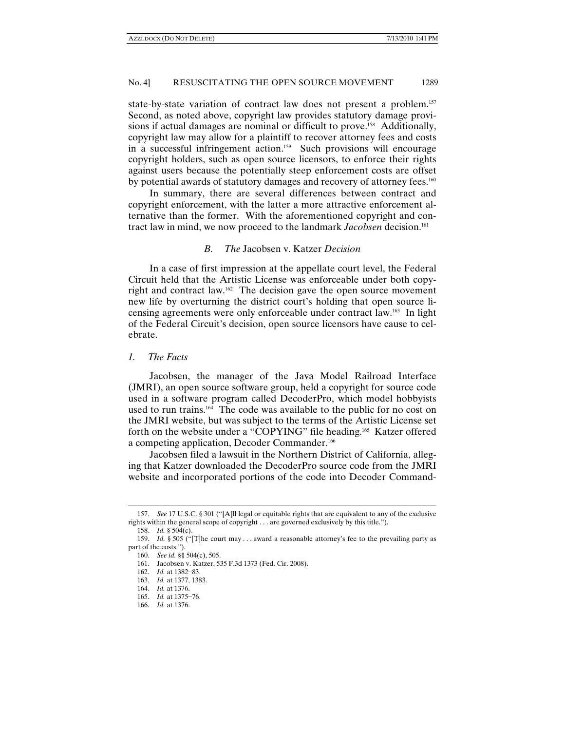state-by-state variation of contract law does not present a problem.<sup>157</sup> Second, as noted above, copyright law provides statutory damage provisions if actual damages are nominal or difficult to prove.<sup>158</sup> Additionally, copyright law may allow for a plaintiff to recover attorney fees and costs in a successful infringement action.159 Such provisions will encourage copyright holders, such as open source licensors, to enforce their rights against users because the potentially steep enforcement costs are offset by potential awards of statutory damages and recovery of attorney fees.<sup>160</sup>

In summary, there are several differences between contract and copyright enforcement, with the latter a more attractive enforcement alternative than the former. With the aforementioned copyright and contract law in mind, we now proceed to the landmark *Jacobsen* decision.161

# *B. The* Jacobsen v. Katzer *Decision*

In a case of first impression at the appellate court level, the Federal Circuit held that the Artistic License was enforceable under both copyright and contract law.162 The decision gave the open source movement new life by overturning the district court's holding that open source licensing agreements were only enforceable under contract law.163 In light of the Federal Circuit's decision, open source licensors have cause to celebrate.

## *1. The Facts*

Jacobsen, the manager of the Java Model Railroad Interface (JMRI), an open source software group, held a copyright for source code used in a software program called DecoderPro, which model hobbyists used to run trains.<sup>164</sup> The code was available to the public for no cost on the JMRI website, but was subject to the terms of the Artistic License set forth on the website under a "COPYING" file heading.<sup>165</sup> Katzer offered a competing application, Decoder Commander.166

Jacobsen filed a lawsuit in the Northern District of California, alleging that Katzer downloaded the DecoderPro source code from the JMRI website and incorporated portions of the code into Decoder Command-

<sup>157.</sup> *See* 17 U.S.C. § 301 ("[A]ll legal or equitable rights that are equivalent to any of the exclusive rights within the general scope of copyright . . . are governed exclusively by this title.").

 <sup>158.</sup> *Id.* § 504(c).

 <sup>159.</sup> *Id.* § 505 ("[T]he court may . . . award a reasonable attorney's fee to the prevailing party as part of the costs.").

 <sup>160.</sup> *See id.* §§ 504(c), 505.

 <sup>161.</sup> Jacobsen v. Katzer, 535 F.3d 1373 (Fed. Cir. 2008).

 <sup>162.</sup> *Id.* at 1382−83.

 <sup>163.</sup> *Id.* at 1377, 1383.

 <sup>164.</sup> *Id.* at 1376.

 <sup>165.</sup> *Id.* at 1375−76.

 <sup>166.</sup> *Id.* at 1376.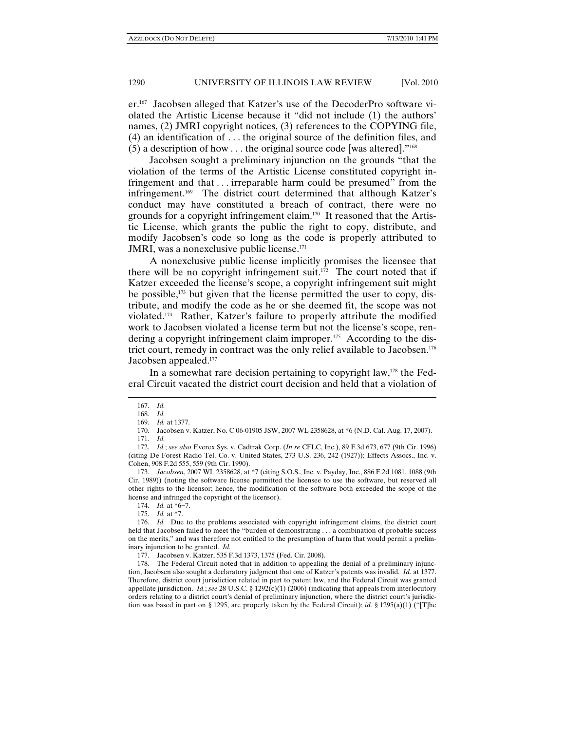er.167 Jacobsen alleged that Katzer's use of the DecoderPro software violated the Artistic License because it "did not include (1) the authors' names, (2) JMRI copyright notices, (3) references to the COPYING file, (4) an identification of . . . the original source of the definition files, and (5) a description of how  $\dots$  the original source code [was altered].<sup>"168</sup>

Jacobsen sought a preliminary injunction on the grounds "that the violation of the terms of the Artistic License constituted copyright infringement and that . . . irreparable harm could be presumed" from the infringement.169 The district court determined that although Katzer's conduct may have constituted a breach of contract, there were no grounds for a copyright infringement claim.170 It reasoned that the Artistic License, which grants the public the right to copy, distribute, and modify Jacobsen's code so long as the code is properly attributed to JMRI, was a nonexclusive public license.<sup>171</sup>

A nonexclusive public license implicitly promises the licensee that there will be no copyright infringement suit.<sup>172</sup> The court noted that if Katzer exceeded the license's scope, a copyright infringement suit might be possible, $173$  but given that the license permitted the user to copy, distribute, and modify the code as he or she deemed fit, the scope was not violated.174 Rather, Katzer's failure to properly attribute the modified work to Jacobsen violated a license term but not the license's scope, rendering a copyright infringement claim improper.<sup>175</sup> According to the district court, remedy in contract was the only relief available to Jacobsen.176 Jacobsen appealed.177

In a somewhat rare decision pertaining to copyright law, $178$  the Federal Circuit vacated the district court decision and held that a violation of

 $\overline{a}$ 

 173. *Jacobsen*, 2007 WL 2358628, at \*7 (citing S.O.S., Inc. v. Payday, Inc., 886 F.2d 1081, 1088 (9th Cir. 1989)) (noting the software license permitted the licensee to use the software, but reserved all other rights to the licensor; hence, the modification of the software both exceeded the scope of the license and infringed the copyright of the licensor).

177. Jacobsen v. Katzer, 535 F.3d 1373, 1375 (Fed. Cir. 2008).

 178. The Federal Circuit noted that in addition to appealing the denial of a preliminary injunction, Jacobsen also sought a declaratory judgment that one of Katzer's patents was invalid. *Id.* at 1377. Therefore, district court jurisdiction related in part to patent law, and the Federal Circuit was granted appellate jurisdiction. *Id.*; *see* 28 U.S.C. § 1292(c)(1) (2006) (indicating that appeals from interlocutory orders relating to a district court's denial of preliminary injunction, where the district court's jurisdiction was based in part on § 1295, are properly taken by the Federal Circuit); *id.* § 1295(a)(1) ("[T]he

<sup>167.</sup> *Id.*

 <sup>168.</sup> *Id.*

 <sup>169.</sup> *Id.* at 1377.

 <sup>170.</sup> Jacobsen v. Katzer, No. C 06-01905 JSW, 2007 WL 2358628, at \*6 (N.D. Cal. Aug. 17, 2007).

 <sup>171.</sup> *Id.*

 <sup>172.</sup> *Id.*; *see also* Everex Sys. v. Cadtrak Corp. (*In re* CFLC, Inc.), 89 F.3d 673, 677 (9th Cir. 1996) (citing De Forest Radio Tel. Co. v. United States, 273 U.S. 236, 242 (1927)); Effects Assocs., Inc. v. Cohen, 908 F.2d 555, 559 (9th Cir. 1990).

 <sup>174.</sup> *Id.* at \*6−7.

 <sup>175.</sup> *Id.* at \*7.

 <sup>176.</sup> *Id.* Due to the problems associated with copyright infringement claims, the district court held that Jacobsen failed to meet the "burden of demonstrating . . . a combination of probable success on the merits," and was therefore not entitled to the presumption of harm that would permit a preliminary injunction to be granted. *Id.*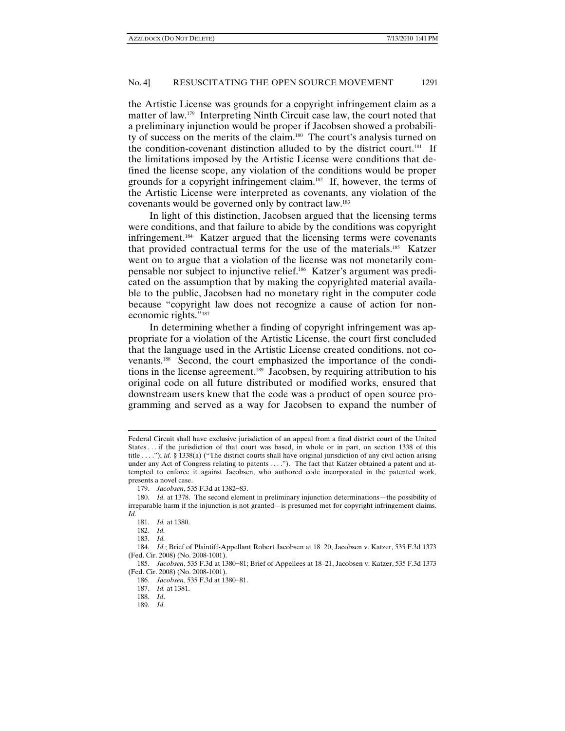the Artistic License was grounds for a copyright infringement claim as a matter of law.179 Interpreting Ninth Circuit case law, the court noted that a preliminary injunction would be proper if Jacobsen showed a probability of success on the merits of the claim.180 The court's analysis turned on the condition-covenant distinction alluded to by the district court.181 If the limitations imposed by the Artistic License were conditions that defined the license scope, any violation of the conditions would be proper grounds for a copyright infringement claim.182 If, however, the terms of the Artistic License were interpreted as covenants, any violation of the covenants would be governed only by contract law.183

In light of this distinction, Jacobsen argued that the licensing terms were conditions, and that failure to abide by the conditions was copyright infringement.184 Katzer argued that the licensing terms were covenants that provided contractual terms for the use of the materials.185 Katzer went on to argue that a violation of the license was not monetarily compensable nor subject to injunctive relief.186 Katzer's argument was predicated on the assumption that by making the copyrighted material available to the public, Jacobsen had no monetary right in the computer code because "copyright law does not recognize a cause of action for noneconomic rights."<sup>187</sup>

In determining whether a finding of copyright infringement was appropriate for a violation of the Artistic License, the court first concluded that the language used in the Artistic License created conditions, not covenants.188 Second, the court emphasized the importance of the conditions in the license agreement.189 Jacobsen, by requiring attribution to his original code on all future distributed or modified works, ensured that downstream users knew that the code was a product of open source programming and served as a way for Jacobsen to expand the number of

183. *Id.*

Federal Circuit shall have exclusive jurisdiction of an appeal from a final district court of the United States . . . if the jurisdiction of that court was based, in whole or in part, on section 1338 of this title . . . ."); *id.* § 1338(a) ("The district courts shall have original jurisdiction of any civil action arising under any Act of Congress relating to patents . . . ."). The fact that Katzer obtained a patent and attempted to enforce it against Jacobsen, who authored code incorporated in the patented work, presents a novel case.

 <sup>179.</sup> *Jacobsen*, 535 F.3d at 1382−83.

 <sup>180.</sup> *Id.* at 1378. The second element in preliminary injunction determinations—the possibility of irreparable harm if the injunction is not granted—is presumed met for copyright infringement claims. *Id.* 

 <sup>181.</sup> *Id.* at 1380.

 <sup>182.</sup> *Id.*

 <sup>184.</sup> *Id.*; Brief of Plaintiff-Appellant Robert Jacobsen at 18−20, Jacobsen v. Katzer, 535 F.3d 1373 (Fed. Cir. 2008) (No. 2008-1001).

 <sup>185.</sup> *Jacobsen*, 535 F.3d at 1380−81; Brief of Appellees at 18–21, Jacobsen v. Katzer, 535 F.3d 1373 (Fed. Cir. 2008) (No. 2008-1001).

 <sup>186.</sup> *Jacobsen*, 535 F.3d at 1380−81.

 <sup>187.</sup> *Id.* at 1381.

 <sup>188.</sup> *Id*.

 <sup>189.</sup> *Id.*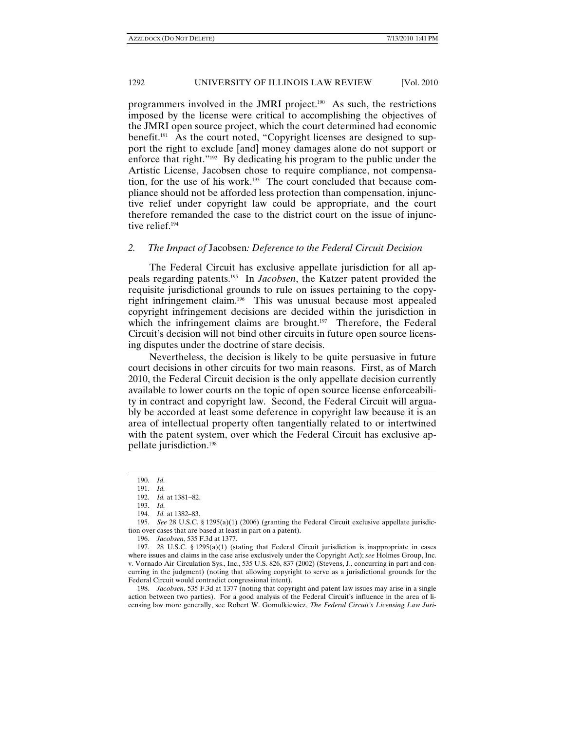programmers involved in the JMRI project.190 As such, the restrictions imposed by the license were critical to accomplishing the objectives of the JMRI open source project, which the court determined had economic benefit.<sup>191</sup> As the court noted, "Copyright licenses are designed to support the right to exclude [and] money damages alone do not support or enforce that right."192 By dedicating his program to the public under the Artistic License, Jacobsen chose to require compliance, not compensation, for the use of his work.193 The court concluded that because compliance should not be afforded less protection than compensation, injunctive relief under copyright law could be appropriate, and the court therefore remanded the case to the district court on the issue of injunctive relief.<sup>194</sup>

## *2. The Impact of* Jacobsen*: Deference to the Federal Circuit Decision*

The Federal Circuit has exclusive appellate jurisdiction for all appeals regarding patents.195 In *Jacobsen*, the Katzer patent provided the requisite jurisdictional grounds to rule on issues pertaining to the copyright infringement claim.196 This was unusual because most appealed copyright infringement decisions are decided within the jurisdiction in which the infringement claims are brought.<sup>197</sup> Therefore, the Federal Circuit's decision will not bind other circuits in future open source licensing disputes under the doctrine of stare decisis.

Nevertheless, the decision is likely to be quite persuasive in future court decisions in other circuits for two main reasons. First, as of March 2010, the Federal Circuit decision is the only appellate decision currently available to lower courts on the topic of open source license enforceability in contract and copyright law. Second, the Federal Circuit will arguably be accorded at least some deference in copyright law because it is an area of intellectual property often tangentially related to or intertwined with the patent system, over which the Federal Circuit has exclusive appellate jurisdiction.198

 $\overline{a}$ 

194. *Id.* at 1382–83.

196. *Jacobsen*, 535 F.3d at 1377.

 198. *Jacobsen*, 535 F.3d at 1377 (noting that copyright and patent law issues may arise in a single action between two parties). For a good analysis of the Federal Circuit's influence in the area of licensing law more generally, see Robert W. Gomulkiewicz, *The Federal Circuit's Licensing Law Juri-*

<sup>190.</sup> *Id.*

 <sup>191.</sup> *Id.*

 <sup>192.</sup> *Id.* at 1381−82.

 <sup>193.</sup> *Id.*

 <sup>195.</sup> *See* 28 U.S.C. § 1295(a)(1) (2006) (granting the Federal Circuit exclusive appellate jurisdiction over cases that are based at least in part on a patent).

<sup>197</sup>*.* 28 U.S.C. § 1295(a)(1) (stating that Federal Circuit jurisdiction is inappropriate in cases where issues and claims in the case arise exclusively under the Copyright Act); *see* Holmes Group, Inc. v. Vornado Air Circulation Sys., Inc., 535 U.S. 826, 837 (2002) (Stevens, J., concurring in part and concurring in the judgment) (noting that allowing copyright to serve as a jurisdictional grounds for the Federal Circuit would contradict congressional intent).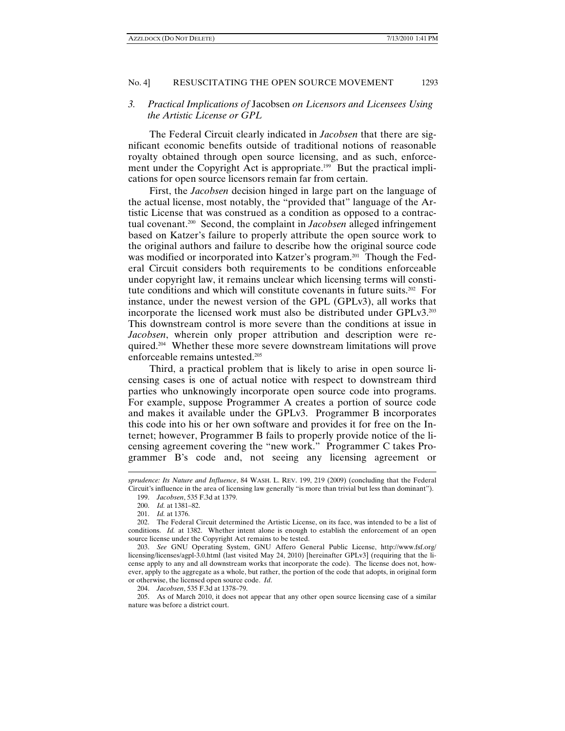## *3. Practical Implications of* Jacobsen *on Licensors and Licensees Using the Artistic License or GPL*

The Federal Circuit clearly indicated in *Jacobsen* that there are significant economic benefits outside of traditional notions of reasonable royalty obtained through open source licensing, and as such, enforcement under the Copyright Act is appropriate.<sup>199</sup> But the practical implications for open source licensors remain far from certain.

First, the *Jacobsen* decision hinged in large part on the language of the actual license, most notably, the "provided that" language of the Artistic License that was construed as a condition as opposed to a contractual covenant.200 Second, the complaint in *Jacobsen* alleged infringement based on Katzer's failure to properly attribute the open source work to the original authors and failure to describe how the original source code was modified or incorporated into Katzer's program.<sup>201</sup> Though the Federal Circuit considers both requirements to be conditions enforceable under copyright law, it remains unclear which licensing terms will constitute conditions and which will constitute covenants in future suits.202 For instance, under the newest version of the GPL (GPLv3), all works that incorporate the licensed work must also be distributed under GPLv3.203 This downstream control is more severe than the conditions at issue in *Jacobsen*, wherein only proper attribution and description were required.204 Whether these more severe downstream limitations will prove enforceable remains untested.205

Third, a practical problem that is likely to arise in open source licensing cases is one of actual notice with respect to downstream third parties who unknowingly incorporate open source code into programs. For example, suppose Programmer A creates a portion of source code and makes it available under the GPLv3. Programmer B incorporates this code into his or her own software and provides it for free on the Internet; however, Programmer B fails to properly provide notice of the licensing agreement covering the "new work." Programmer C takes Programmer B's code and, not seeing any licensing agreement or

*sprudence: Its Nature and Influence*, 84 WASH. L. REV. 199, 219 (2009) (concluding that the Federal Circuit's influence in the area of licensing law generally "is more than trivial but less than dominant").

 <sup>199.</sup> *Jacobsen*, 535 F.3d at 1379.

 <sup>200.</sup> *Id.* at 1381–82.

 <sup>201.</sup> *Id.* at 1376.

 <sup>202.</sup> The Federal Circuit determined the Artistic License, on its face, was intended to be a list of conditions. *Id.* at 1382. Whether intent alone is enough to establish the enforcement of an open source license under the Copyright Act remains to be tested.

 <sup>203.</sup> *See* GNU Operating System, GNU Affero General Public License, http://www.fsf.org/ licensing/licenses/agpl-3.0.html (last visited May 24, 2010) [hereinafter GPLv3] (requiring that the license apply to any and all downstream works that incorporate the code). The license does not, however, apply to the aggregate as a whole, but rather, the portion of the code that adopts, in original form or otherwise, the licensed open source code. *Id*.

 <sup>204.</sup> *Jacobsen*, 535 F.3d at 1378–79.

 <sup>205.</sup> As of March 2010, it does not appear that any other open source licensing case of a similar nature was before a district court.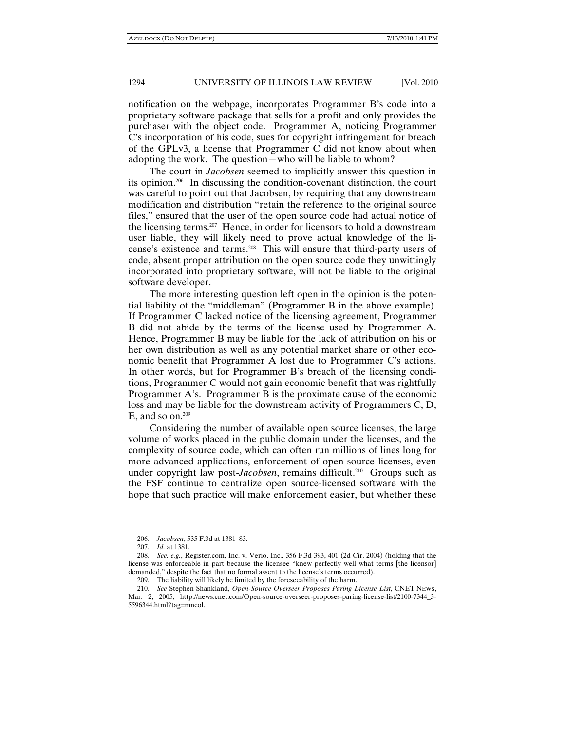notification on the webpage, incorporates Programmer B's code into a proprietary software package that sells for a profit and only provides the purchaser with the object code. Programmer A, noticing Programmer C's incorporation of his code, sues for copyright infringement for breach of the GPLv3, a license that Programmer C did not know about when adopting the work. The question—who will be liable to whom?

The court in *Jacobsen* seemed to implicitly answer this question in its opinion.206 In discussing the condition-covenant distinction, the court was careful to point out that Jacobsen, by requiring that any downstream modification and distribution "retain the reference to the original source files," ensured that the user of the open source code had actual notice of the licensing terms.207 Hence, in order for licensors to hold a downstream user liable, they will likely need to prove actual knowledge of the license's existence and terms.208 This will ensure that third-party users of code, absent proper attribution on the open source code they unwittingly incorporated into proprietary software, will not be liable to the original software developer.

The more interesting question left open in the opinion is the potential liability of the "middleman" (Programmer B in the above example). If Programmer C lacked notice of the licensing agreement, Programmer B did not abide by the terms of the license used by Programmer A. Hence, Programmer B may be liable for the lack of attribution on his or her own distribution as well as any potential market share or other economic benefit that Programmer A lost due to Programmer C's actions. In other words, but for Programmer B's breach of the licensing conditions, Programmer C would not gain economic benefit that was rightfully Programmer A's. Programmer B is the proximate cause of the economic loss and may be liable for the downstream activity of Programmers C, D, E, and so on. $209$ 

Considering the number of available open source licenses, the large volume of works placed in the public domain under the licenses, and the complexity of source code, which can often run millions of lines long for more advanced applications, enforcement of open source licenses, even under copyright law post-*Jacobsen*, remains difficult.<sup>210</sup> Groups such as the FSF continue to centralize open source-licensed software with the hope that such practice will make enforcement easier, but whether these

<sup>206.</sup> *Jacobsen*, 535 F.3d at 1381–83.

 <sup>207.</sup> *Id.* at 1381.

 <sup>208.</sup> *See, e.g.*, Register.com, Inc. v. Verio, Inc., 356 F.3d 393, 401 (2d Cir. 2004) (holding that the license was enforceable in part because the licensee "knew perfectly well what terms [the licensor] demanded," despite the fact that no formal assent to the license's terms occurred).

 <sup>209.</sup> The liability will likely be limited by the foreseeability of the harm.

 <sup>210.</sup> *See* Stephen Shankland, *Open-Source Overseer Proposes Paring License List*, CNET NEWS, Mar. 2, 2005, http://news.cnet.com/Open-source-overseer-proposes-paring-license-list/2100-7344\_3- 5596344.html?tag=mncol.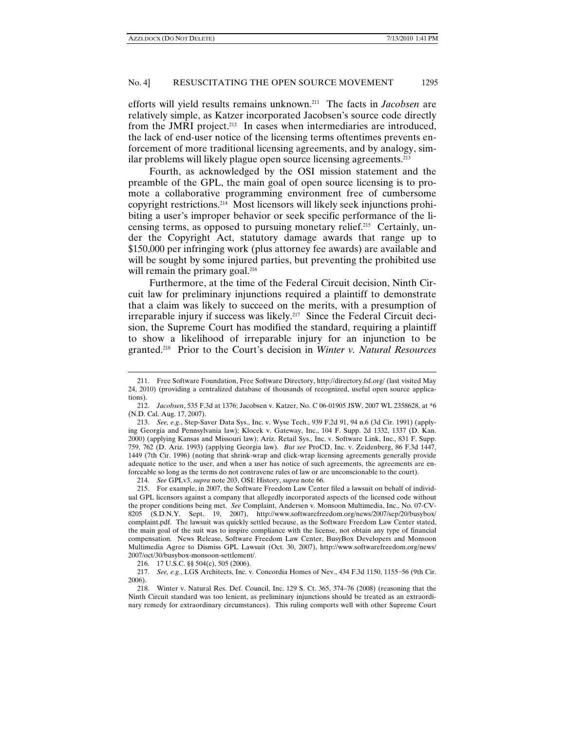efforts will yield results remains unknown.211 The facts in *Jacobsen* are relatively simple, as Katzer incorporated Jacobsen's source code directly from the JMRI project.<sup>212</sup> In cases when intermediaries are introduced, the lack of end-user notice of the licensing terms oftentimes prevents enforcement of more traditional licensing agreements, and by analogy, similar problems will likely plague open source licensing agreements.213

Fourth, as acknowledged by the OSI mission statement and the preamble of the GPL, the main goal of open source licensing is to promote a collaborative programming environment free of cumbersome copyright restrictions.214 Most licensors will likely seek injunctions prohibiting a user's improper behavior or seek specific performance of the licensing terms, as opposed to pursuing monetary relief.215 Certainly, under the Copyright Act, statutory damage awards that range up to \$150,000 per infringing work (plus attorney fee awards) are available and will be sought by some injured parties, but preventing the prohibited use will remain the primary goal.<sup>216</sup>

Furthermore, at the time of the Federal Circuit decision, Ninth Circuit law for preliminary injunctions required a plaintiff to demonstrate that a claim was likely to succeed on the merits, with a presumption of irreparable injury if success was likely.<sup>217</sup> Since the Federal Circuit decision, the Supreme Court has modified the standard, requiring a plaintiff to show a likelihood of irreparable injury for an injunction to be granted.218 Prior to the Court's decision in *Winter v. Natural Resources* 

214. *See* GPLv3, *supra* note 203, OSI: History, *supra* note 66.

<sup>211.</sup> Free Software Foundation, Free Software Directory, http://directory.fsf.org/ (last visited May 24, 2010) (providing a centralized database of thousands of recognized, useful open source applications).

 <sup>212.</sup> *Jacobsen*, 535 F.3d at 1376; Jacobsen v. Katzer, No. C 06-01905 JSW, 2007 WL 2358628, at \*6 (N.D. Cal. Aug. 17, 2007).

 <sup>213.</sup> *See, e.g.*, Step-Saver Data Sys., Inc. v. Wyse Tech., 939 F.2d 91, 94 n.6 (3d Cir. 1991) (applying Georgia and Pennsylvania law); Klocek v. Gateway, Inc., 104 F. Supp. 2d 1332, 1337 (D. Kan. 2000) (applying Kansas and Missouri law); Ariz. Retail Sys., Inc. v. Software Link, Inc., 831 F. Supp. 759, 762 (D. Ariz. 1993) (applying Georgia law). *But see* ProCD, Inc. v. Zeidenberg, 86 F.3d 1447, 1449 (7th Cir. 1996) (noting that shrink-wrap and click-wrap licensing agreements generally provide adequate notice to the user, and when a user has notice of such agreements, the agreements are enforceable so long as the terms do not contravene rules of law or are unconscionable to the court).

 <sup>215.</sup> For example, in 2007, the Software Freedom Law Center filed a lawsuit on behalf of individual GPL licensors against a company that allegedly incorporated aspects of the licensed code without the proper conditions being met. *See* Complaint, Andersen v. Monsoon Multimedia, Inc., No. 07-CV-8205 (S.D.N.Y. Sept. 19, 2007), http://www.softwarefreedom.org/news/2007/sep/20/busybox/ complaint.pdf. The lawsuit was quickly settled because, as the Software Freedom Law Center stated, the main goal of the suit was to inspire compliance with the license, not obtain any type of financial compensation. News Release, Software Freedom Law Center, BusyBox Developers and Monsoon Multimedia Agree to Dismiss GPL Lawsuit (Oct. 30, 2007), http://www.softwarefreedom.org/news/ 2007/oct/30/busybox-monsoon-settlement/.

 <sup>216. 17</sup> U.S.C. §§ 504(c), 505 (2006).

 <sup>217.</sup> *See, e.g.*, LGS Architects, Inc. v. Concordia Homes of Nev., 434 F.3d 1150, 1155−56 (9th Cir. 2006).

 <sup>218.</sup> Winter v. Natural Res. Def. Council, Inc. 129 S. Ct. 365, 374–76 (2008) (reasoning that the Ninth Circuit standard was too lenient, as preliminary injunctions should be treated as an extraordinary remedy for extraordinary circumstances). This ruling comports well with other Supreme Court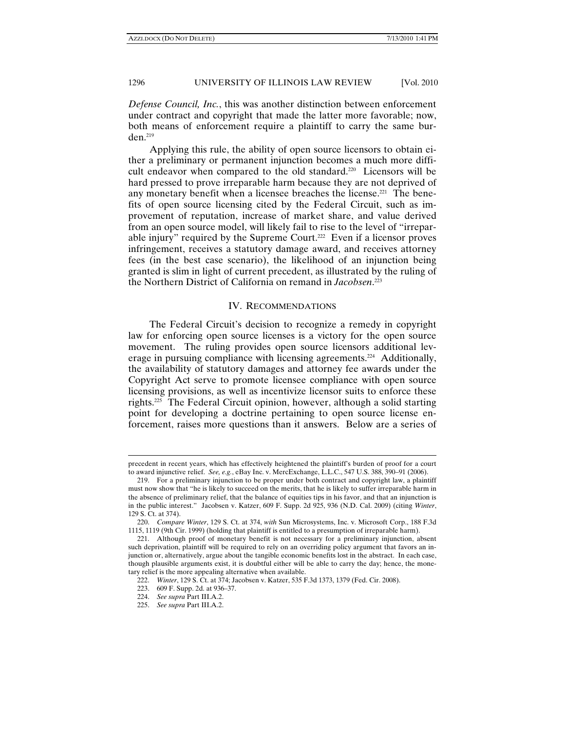*Defense Council, Inc.*, this was another distinction between enforcement under contract and copyright that made the latter more favorable; now, both means of enforcement require a plaintiff to carry the same burden.219

Applying this rule, the ability of open source licensors to obtain either a preliminary or permanent injunction becomes a much more difficult endeavor when compared to the old standard.220 Licensors will be hard pressed to prove irreparable harm because they are not deprived of any monetary benefit when a licensee breaches the license.<sup>221</sup> The benefits of open source licensing cited by the Federal Circuit, such as improvement of reputation, increase of market share, and value derived from an open source model, will likely fail to rise to the level of "irreparable injury" required by the Supreme Court.<sup>222</sup> Even if a licensor proves infringement, receives a statutory damage award, and receives attorney fees (in the best case scenario), the likelihood of an injunction being granted is slim in light of current precedent, as illustrated by the ruling of the Northern District of California on remand in *Jacobsen*. 223

## IV. RECOMMENDATIONS

The Federal Circuit's decision to recognize a remedy in copyright law for enforcing open source licenses is a victory for the open source movement. The ruling provides open source licensors additional leverage in pursuing compliance with licensing agreements.<sup>224</sup> Additionally, the availability of statutory damages and attorney fee awards under the Copyright Act serve to promote licensee compliance with open source licensing provisions, as well as incentivize licensor suits to enforce these rights.225 The Federal Circuit opinion, however, although a solid starting point for developing a doctrine pertaining to open source license enforcement, raises more questions than it answers. Below are a series of

precedent in recent years, which has effectively heightened the plaintiff's burden of proof for a court to award injunctive relief. *See, e.g.*, eBay Inc. v. MercExchange, L.L.C., 547 U.S. 388, 390–91 (2006).

 <sup>219.</sup> For a preliminary injunction to be proper under both contract and copyright law, a plaintiff must now show that "he is likely to succeed on the merits, that he is likely to suffer irreparable harm in the absence of preliminary relief, that the balance of equities tips in his favor, and that an injunction is in the public interest." Jacobsen v. Katzer, 609 F. Supp. 2d 925, 936 (N.D. Cal. 2009) (citing *Winter*, 129 S. Ct. at 374).

 <sup>220.</sup> *Compare Winter*, 129 S. Ct. at 374, *with* Sun Microsystems, Inc. v. Microsoft Corp., 188 F.3d 1115, 1119 (9th Cir. 1999) (holding that plaintiff is entitled to a presumption of irreparable harm).

 <sup>221.</sup> Although proof of monetary benefit is not necessary for a preliminary injunction, absent such deprivation, plaintiff will be required to rely on an overriding policy argument that favors an injunction or, alternatively, argue about the tangible economic benefits lost in the abstract. In each case, though plausible arguments exist, it is doubtful either will be able to carry the day; hence, the monetary relief is the more appealing alternative when available.

 <sup>222.</sup> *Winter*, 129 S. Ct. at 374; Jacobsen v. Katzer, 535 F.3d 1373, 1379 (Fed. Cir. 2008).

 <sup>223. 609</sup> F. Supp. 2d. at 936–37.

 <sup>224.</sup> *See supra* Part III.A.2.

 <sup>225.</sup> *See supra* Part III.A.2.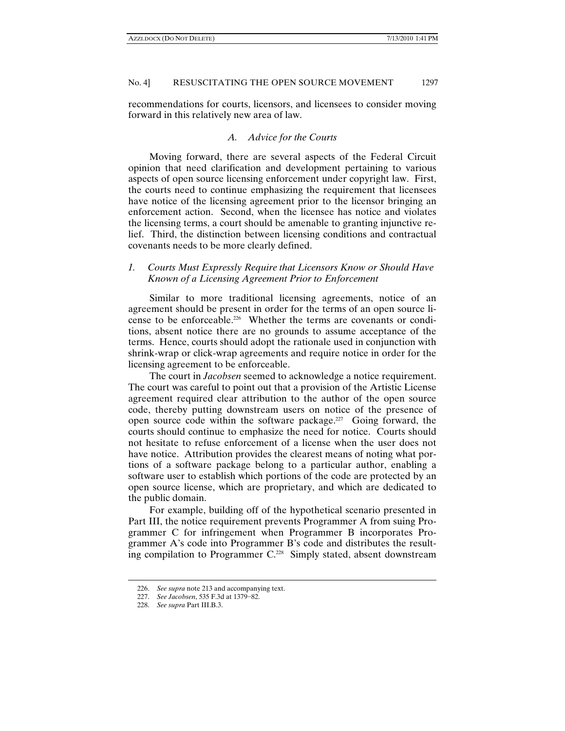recommendations for courts, licensors, and licensees to consider moving forward in this relatively new area of law.

## *A. Advice for the Courts*

Moving forward, there are several aspects of the Federal Circuit opinion that need clarification and development pertaining to various aspects of open source licensing enforcement under copyright law. First, the courts need to continue emphasizing the requirement that licensees have notice of the licensing agreement prior to the licensor bringing an enforcement action. Second, when the licensee has notice and violates the licensing terms, a court should be amenable to granting injunctive relief. Third, the distinction between licensing conditions and contractual covenants needs to be more clearly defined.

# *1. Courts Must Expressly Require that Licensors Know or Should Have Known of a Licensing Agreement Prior to Enforcement*

Similar to more traditional licensing agreements, notice of an agreement should be present in order for the terms of an open source license to be enforceable.226 Whether the terms are covenants or conditions, absent notice there are no grounds to assume acceptance of the terms. Hence, courts should adopt the rationale used in conjunction with shrink-wrap or click-wrap agreements and require notice in order for the licensing agreement to be enforceable.

The court in *Jacobsen* seemed to acknowledge a notice requirement. The court was careful to point out that a provision of the Artistic License agreement required clear attribution to the author of the open source code, thereby putting downstream users on notice of the presence of open source code within the software package.227 Going forward, the courts should continue to emphasize the need for notice. Courts should not hesitate to refuse enforcement of a license when the user does not have notice. Attribution provides the clearest means of noting what portions of a software package belong to a particular author, enabling a software user to establish which portions of the code are protected by an open source license, which are proprietary, and which are dedicated to the public domain.

For example, building off of the hypothetical scenario presented in Part III, the notice requirement prevents Programmer A from suing Programmer C for infringement when Programmer B incorporates Programmer A's code into Programmer B's code and distributes the resulting compilation to Programmer C.<sup>228</sup> Simply stated, absent downstream

<sup>226.</sup> *See supra* note 213 and accompanying text.

 <sup>227.</sup> *See Jacobsen*, 535 F.3d at 1379−82.

 <sup>228.</sup> *See supra* Part III.B.3.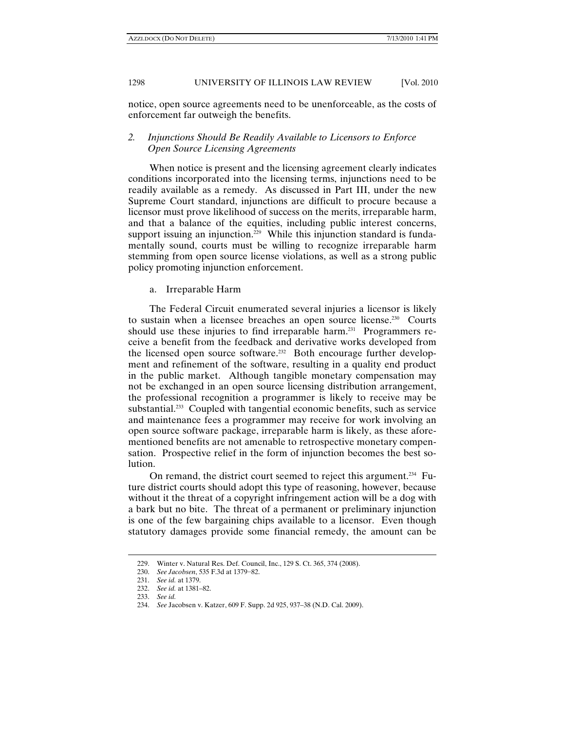notice, open source agreements need to be unenforceable, as the costs of enforcement far outweigh the benefits.

# *2. Injunctions Should Be Readily Available to Licensors to Enforce Open Source Licensing Agreements*

When notice is present and the licensing agreement clearly indicates conditions incorporated into the licensing terms, injunctions need to be readily available as a remedy. As discussed in Part III, under the new Supreme Court standard, injunctions are difficult to procure because a licensor must prove likelihood of success on the merits, irreparable harm, and that a balance of the equities, including public interest concerns, support issuing an injunction.<sup>229</sup> While this injunction standard is fundamentally sound, courts must be willing to recognize irreparable harm stemming from open source license violations, as well as a strong public policy promoting injunction enforcement.

### a. Irreparable Harm

The Federal Circuit enumerated several injuries a licensor is likely to sustain when a licensee breaches an open source license.230 Courts should use these injuries to find irreparable harm.<sup>231</sup> Programmers receive a benefit from the feedback and derivative works developed from the licensed open source software.232 Both encourage further development and refinement of the software, resulting in a quality end product in the public market. Although tangible monetary compensation may not be exchanged in an open source licensing distribution arrangement, the professional recognition a programmer is likely to receive may be substantial.<sup>233</sup> Coupled with tangential economic benefits, such as service and maintenance fees a programmer may receive for work involving an open source software package, irreparable harm is likely, as these aforementioned benefits are not amenable to retrospective monetary compensation. Prospective relief in the form of injunction becomes the best solution.

On remand, the district court seemed to reject this argument.<sup>234</sup> Future district courts should adopt this type of reasoning, however, because without it the threat of a copyright infringement action will be a dog with a bark but no bite. The threat of a permanent or preliminary injunction is one of the few bargaining chips available to a licensor. Even though statutory damages provide some financial remedy, the amount can be

<sup>229.</sup> Winter v. Natural Res. Def. Council, Inc., 129 S. Ct. 365, 374 (2008).

 <sup>230.</sup> *See Jacobsen*, 535 F.3d at 1379−82.

 <sup>231.</sup> *See id.* at 1379.

 <sup>232.</sup> *See id.* at 1381–82.

 <sup>233.</sup> *See id.* 

 <sup>234.</sup> *See* Jacobsen v. Katzer, 609 F. Supp. 2d 925, 937–38 (N.D. Cal. 2009).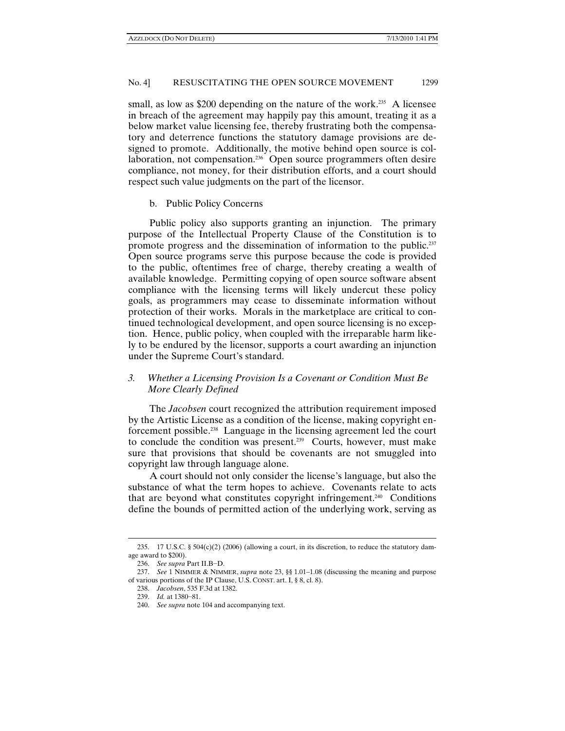small, as low as \$200 depending on the nature of the work.<sup>235</sup> A licensee in breach of the agreement may happily pay this amount, treating it as a below market value licensing fee, thereby frustrating both the compensatory and deterrence functions the statutory damage provisions are designed to promote. Additionally, the motive behind open source is collaboration, not compensation.<sup>236</sup> Open source programmers often desire compliance, not money, for their distribution efforts, and a court should respect such value judgments on the part of the licensor.

b. Public Policy Concerns

Public policy also supports granting an injunction. The primary purpose of the Intellectual Property Clause of the Constitution is to promote progress and the dissemination of information to the public.237 Open source programs serve this purpose because the code is provided to the public, oftentimes free of charge, thereby creating a wealth of available knowledge. Permitting copying of open source software absent compliance with the licensing terms will likely undercut these policy goals, as programmers may cease to disseminate information without protection of their works. Morals in the marketplace are critical to continued technological development, and open source licensing is no exception. Hence, public policy, when coupled with the irreparable harm likely to be endured by the licensor, supports a court awarding an injunction under the Supreme Court's standard.

# *3. Whether a Licensing Provision Is a Covenant or Condition Must Be More Clearly Defined*

The *Jacobsen* court recognized the attribution requirement imposed by the Artistic License as a condition of the license, making copyright enforcement possible.238 Language in the licensing agreement led the court to conclude the condition was present.239 Courts, however, must make sure that provisions that should be covenants are not smuggled into copyright law through language alone.

A court should not only consider the license's language, but also the substance of what the term hopes to achieve. Covenants relate to acts that are beyond what constitutes copyright infringement.240 Conditions define the bounds of permitted action of the underlying work, serving as

<sup>235. 17</sup> U.S.C. § 504(c)(2) (2006) (allowing a court, in its discretion, to reduce the statutory damage award to \$200).

 <sup>236.</sup> *See supra* Part II.B−D.

 <sup>237.</sup> *See* 1 NIMMER & NIMMER, *supra* note 23, §§ 1.01–1.08 (discussing the meaning and purpose of various portions of the IP Clause, U.S. CONST. art. I, § 8, cl. 8).

 <sup>238.</sup> *Jacobsen*, 535 F.3d at 1382.

 <sup>239.</sup> *Id.* at 1380−81.

 <sup>240.</sup> *See supra* note 104 and accompanying text.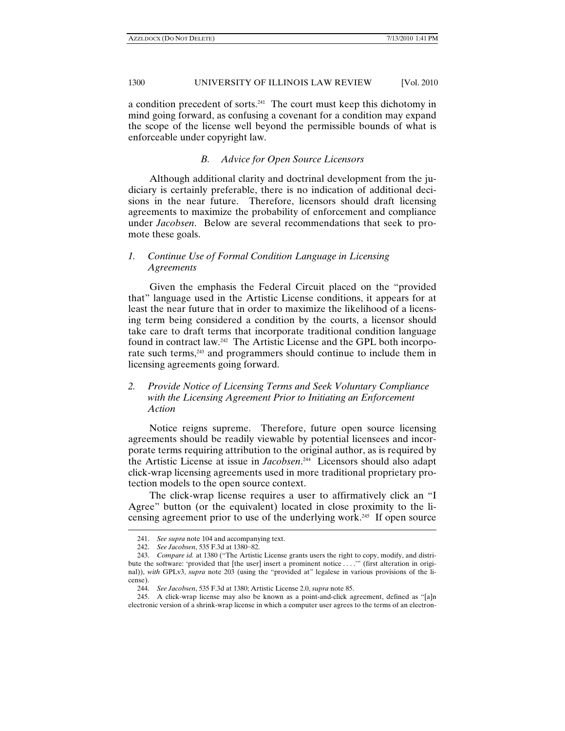a condition precedent of sorts.241 The court must keep this dichotomy in mind going forward, as confusing a covenant for a condition may expand the scope of the license well beyond the permissible bounds of what is enforceable under copyright law.

## *B. Advice for Open Source Licensors*

Although additional clarity and doctrinal development from the judiciary is certainly preferable, there is no indication of additional decisions in the near future. Therefore, licensors should draft licensing agreements to maximize the probability of enforcement and compliance under *Jacobsen*. Below are several recommendations that seek to promote these goals.

# *1. Continue Use of Formal Condition Language in Licensing Agreements*

Given the emphasis the Federal Circuit placed on the "provided that" language used in the Artistic License conditions, it appears for at least the near future that in order to maximize the likelihood of a licensing term being considered a condition by the courts, a licensor should take care to draft terms that incorporate traditional condition language found in contract law.242 The Artistic License and the GPL both incorporate such terms,<sup>243</sup> and programmers should continue to include them in licensing agreements going forward.

# *2. Provide Notice of Licensing Terms and Seek Voluntary Compliance with the Licensing Agreement Prior to Initiating an Enforcement Action*

Notice reigns supreme. Therefore, future open source licensing agreements should be readily viewable by potential licensees and incorporate terms requiring attribution to the original author, as is required by the Artistic License at issue in *Jacobsen*. 244 Licensors should also adapt click-wrap licensing agreements used in more traditional proprietary protection models to the open source context.

The click-wrap license requires a user to affirmatively click an "I Agree" button (or the equivalent) located in close proximity to the licensing agreement prior to use of the underlying work.245 If open source

<sup>241.</sup> *See supra* note 104 and accompanying text.

 <sup>242.</sup> *See Jacobsen*, 535 F.3d at 1380−82.

 <sup>243.</sup> *Compare id.* at 1380 ("The Artistic License grants users the right to copy, modify, and distribute the software: 'provided that [the user] insert a prominent notice . . . .'" (first alteration in original)), *with* GPLv3, *supra* note 203 (using the "provided at" legalese in various provisions of the license).

 <sup>244.</sup> *See Jacobsen*, 535 F.3d at 1380; Artistic License 2.0, *supra* note 85.

 <sup>245.</sup> A click-wrap license may also be known as a point-and-click agreement, defined as "[a]n electronic version of a shrink-wrap license in which a computer user agrees to the terms of an electron-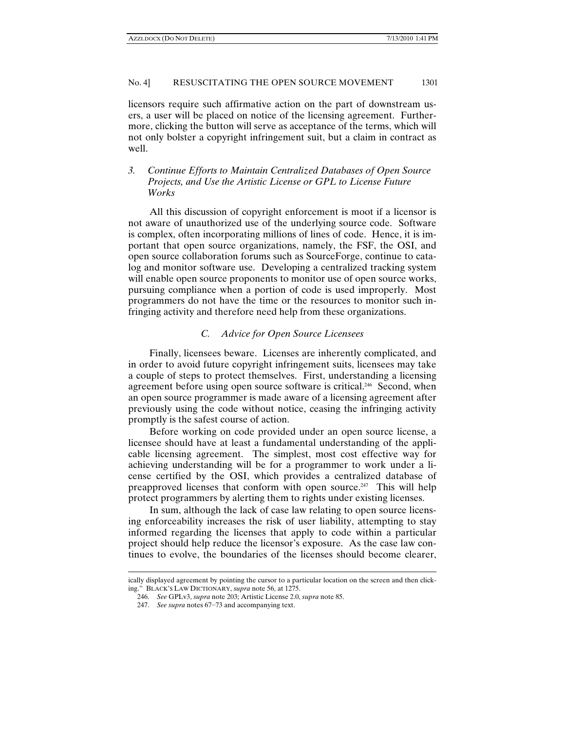licensors require such affirmative action on the part of downstream users, a user will be placed on notice of the licensing agreement. Furthermore, clicking the button will serve as acceptance of the terms, which will not only bolster a copyright infringement suit, but a claim in contract as well.

## *3. Continue Efforts to Maintain Centralized Databases of Open Source Projects, and Use the Artistic License or GPL to License Future Works*

All this discussion of copyright enforcement is moot if a licensor is not aware of unauthorized use of the underlying source code. Software is complex, often incorporating millions of lines of code. Hence, it is important that open source organizations, namely, the FSF, the OSI, and open source collaboration forums such as SourceForge, continue to catalog and monitor software use. Developing a centralized tracking system will enable open source proponents to monitor use of open source works, pursuing compliance when a portion of code is used improperly. Most programmers do not have the time or the resources to monitor such infringing activity and therefore need help from these organizations.

## *C. Advice for Open Source Licensees*

Finally, licensees beware. Licenses are inherently complicated, and in order to avoid future copyright infringement suits, licensees may take a couple of steps to protect themselves. First, understanding a licensing agreement before using open source software is critical.<sup>246</sup> Second, when an open source programmer is made aware of a licensing agreement after previously using the code without notice, ceasing the infringing activity promptly is the safest course of action.

Before working on code provided under an open source license, a licensee should have at least a fundamental understanding of the applicable licensing agreement. The simplest, most cost effective way for achieving understanding will be for a programmer to work under a license certified by the OSI, which provides a centralized database of preapproved licenses that conform with open source.<sup>247</sup> This will help protect programmers by alerting them to rights under existing licenses.

In sum, although the lack of case law relating to open source licensing enforceability increases the risk of user liability, attempting to stay informed regarding the licenses that apply to code within a particular project should help reduce the licensor's exposure. As the case law continues to evolve, the boundaries of the licenses should become clearer,

ically displayed agreement by pointing the cursor to a particular location on the screen and then clicking." BLACK'S LAW DICTIONARY, *supra* note 56, at 1275.

 <sup>246.</sup> *See* GPLv3, *supra* note 203; Artistic License 2.0, *supra* note 85.

 <sup>247.</sup> *See supra* notes 67−73 and accompanying text.